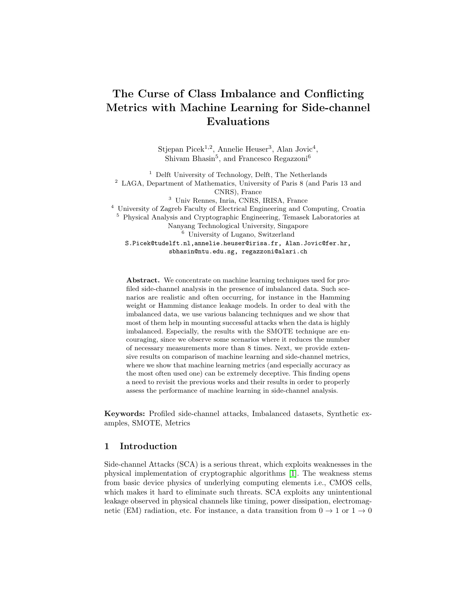# The Curse of Class Imbalance and Conflicting Metrics with Machine Learning for Side-channel Evaluations

Stjepan Picek<sup>1,2</sup>, Annelie Heuser<sup>3</sup>, Alan Jovic<sup>4</sup>, Shivam Bhasin<sup>5</sup>, and Francesco Regazzoni<sup>6</sup>

<sup>1</sup> Delft University of Technology, Delft, The Netherlands <sup>2</sup> LAGA, Department of Mathematics, University of Paris 8 (and Paris 13 and CNRS), France <sup>3</sup> Univ Rennes, Inria, CNRS, IRISA, France <sup>4</sup> University of Zagreb Faculty of Electrical Engineering and Computing, Croatia <sup>5</sup> Physical Analysis and Cryptographic Engineering, Temasek Laboratories at Nanyang Technological University, Singapore <sup>6</sup> University of Lugano, Switzerland S.Picek@tudelft.nl,annelie.heuser@irisa.fr, Alan.Jovic@fer.hr, sbhasin@ntu.edu.sg, regazzoni@alari.ch

Abstract. We concentrate on machine learning techniques used for profiled side-channel analysis in the presence of imbalanced data. Such scenarios are realistic and often occurring, for instance in the Hamming weight or Hamming distance leakage models. In order to deal with the imbalanced data, we use various balancing techniques and we show that most of them help in mounting successful attacks when the data is highly imbalanced. Especially, the results with the SMOTE technique are encouraging, since we observe some scenarios where it reduces the number of necessary measurements more than 8 times. Next, we provide extensive results on comparison of machine learning and side-channel metrics, where we show that machine learning metrics (and especially accuracy as the most often used one) can be extremely deceptive. This finding opens a need to revisit the previous works and their results in order to properly assess the performance of machine learning in side-channel analysis.

Keywords: Profiled side-channel attacks, Imbalanced datasets, Synthetic examples, SMOTE, Metrics

# 1 Introduction

Side-channel Attacks (SCA) is a serious threat, which exploits weaknesses in the physical implementation of cryptographic algorithms [\[1\]](#page-25-0). The weakness stems from basic device physics of underlying computing elements i.e., CMOS cells, which makes it hard to eliminate such threats. SCA exploits any unintentional leakage observed in physical channels like timing, power dissipation, electromagnetic (EM) radiation, etc. For instance, a data transition from  $0 \to 1$  or  $1 \to 0$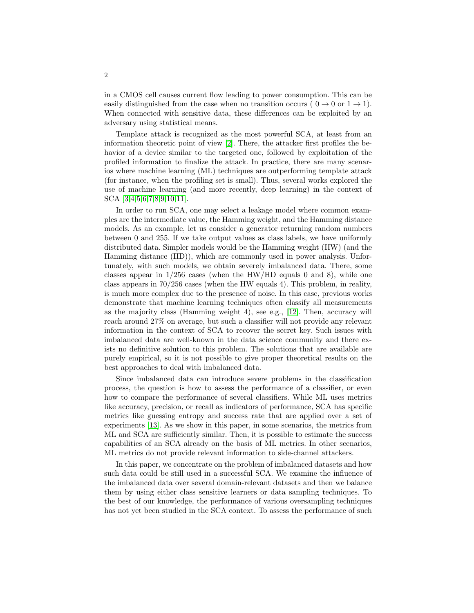in a CMOS cell causes current flow leading to power consumption. This can be easily distinguished from the case when no transition occurs ( $0 \rightarrow 0$  or  $1 \rightarrow 1$ ). When connected with sensitive data, these differences can be exploited by an adversary using statistical means.

Template attack is recognized as the most powerful SCA, at least from an information theoretic point of view [\[2\]](#page-25-1). There, the attacker first profiles the behavior of a device similar to the targeted one, followed by exploitation of the profiled information to finalize the attack. In practice, there are many scenarios where machine learning (ML) techniques are outperforming template attack (for instance, when the profiling set is small). Thus, several works explored the use of machine learning (and more recently, deep learning) in the context of SCA [\[3,](#page-25-2)[4,](#page-26-0)[5,](#page-26-1)[6](#page-26-2)[,7,](#page-26-3)[8,](#page-26-4)[9,](#page-26-5)[10](#page-26-6)[,11\]](#page-26-7).

In order to run SCA, one may select a leakage model where common examples are the intermediate value, the Hamming weight, and the Hamming distance models. As an example, let us consider a generator returning random numbers between 0 and 255. If we take output values as class labels, we have uniformly distributed data. Simpler models would be the Hamming weight (HW) (and the Hamming distance (HD)), which are commonly used in power analysis. Unfortunately, with such models, we obtain severely imbalanced data. There, some classes appear in  $1/256$  cases (when the HW/HD equals 0 and 8), while one class appears in 70/256 cases (when the HW equals 4). This problem, in reality, is much more complex due to the presence of noise. In this case, previous works demonstrate that machine learning techniques often classify all measurements as the majority class (Hamming weight 4), see e.g., [\[12\]](#page-26-8). Then, accuracy will reach around 27% on average, but such a classifier will not provide any relevant information in the context of SCA to recover the secret key. Such issues with imbalanced data are well-known in the data science community and there exists no definitive solution to this problem. The solutions that are available are purely empirical, so it is not possible to give proper theoretical results on the best approaches to deal with imbalanced data.

Since imbalanced data can introduce severe problems in the classification process, the question is how to assess the performance of a classifier, or even how to compare the performance of several classifiers. While ML uses metrics like accuracy, precision, or recall as indicators of performance, SCA has specific metrics like guessing entropy and success rate that are applied over a set of experiments [\[13\]](#page-26-9). As we show in this paper, in some scenarios, the metrics from ML and SCA are sufficiently similar. Then, it is possible to estimate the success capabilities of an SCA already on the basis of ML metrics. In other scenarios, ML metrics do not provide relevant information to side-channel attackers.

In this paper, we concentrate on the problem of imbalanced datasets and how such data could be still used in a successful SCA. We examine the influence of the imbalanced data over several domain-relevant datasets and then we balance them by using either class sensitive learners or data sampling techniques. To the best of our knowledge, the performance of various oversampling techniques has not yet been studied in the SCA context. To assess the performance of such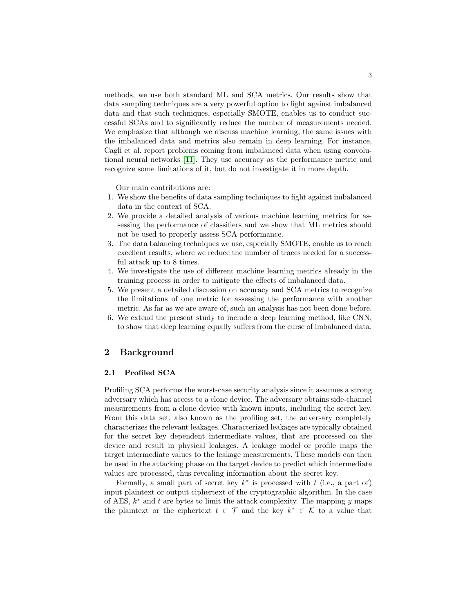methods, we use both standard ML and SCA metrics. Our results show that data sampling techniques are a very powerful option to fight against imbalanced data and that such techniques, especially SMOTE, enables us to conduct successful SCAs and to significantly reduce the number of measurements needed. We emphasize that although we discuss machine learning, the same issues with the imbalanced data and metrics also remain in deep learning. For instance, Cagli et al. report problems coming from imbalanced data when using convolutional neural networks [\[11\]](#page-26-7). They use accuracy as the performance metric and recognize some limitations of it, but do not investigate it in more depth.

Our main contributions are:

- 1. We show the benefits of data sampling techniques to fight against imbalanced data in the context of SCA.
- 2. We provide a detailed analysis of various machine learning metrics for assessing the performance of classifiers and we show that ML metrics should not be used to properly assess SCA performance.
- 3. The data balancing techniques we use, especially SMOTE, enable us to reach excellent results, where we reduce the number of traces needed for a successful attack up to 8 times.
- 4. We investigate the use of different machine learning metrics already in the training process in order to mitigate the effects of imbalanced data.
- 5. We present a detailed discussion on accuracy and SCA metrics to recognize the limitations of one metric for assessing the performance with another metric. As far as we are aware of, such an analysis has not been done before.
- 6. We extend the present study to include a deep learning method, like CNN, to show that deep learning equally suffers from the curse of imbalanced data.

# 2 Background

### 2.1 Profiled SCA

Profiling SCA performs the worst-case security analysis since it assumes a strong adversary which has access to a clone device. The adversary obtains side-channel measurements from a clone device with known inputs, including the secret key. From this data set, also known as the profiling set, the adversary completely characterizes the relevant leakages. Characterized leakages are typically obtained for the secret key dependent intermediate values, that are processed on the device and result in physical leakages. A leakage model or profile maps the target intermediate values to the leakage measurements. These models can then be used in the attacking phase on the target device to predict which intermediate values are processed, thus revealing information about the secret key.

Formally, a small part of secret key  $k^*$  is processed with  $t$  (i.e., a part of) input plaintext or output ciphertext of the cryptographic algorithm. In the case of AES,  $k^*$  and t are bytes to limit the attack complexity. The mapping y maps the plaintext or the ciphertext  $t \in \mathcal{T}$  and the key  $k^* \in \mathcal{K}$  to a value that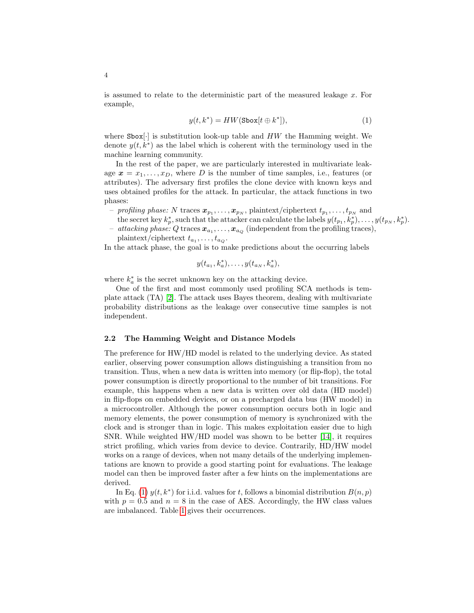is assumed to relate to the deterministic part of the measured leakage x. For example,

<span id="page-3-0"></span>
$$
y(t, k^*) = HW(\text{Sbox}[t \oplus k^*]),\tag{1}
$$

where  $\text{Sbox}[\cdot]$  is substitution look-up table and HW the Hamming weight. We denote  $y(t, k^*)$  as the label which is coherent with the terminology used in the machine learning community.

In the rest of the paper, we are particularly interested in multivariate leakage  $x = x_1, \ldots, x_D$ , where D is the number of time samples, i.e., features (or attributes). The adversary first profiles the clone device with known keys and uses obtained profiles for the attack. In particular, the attack functions in two phases:

- *profiling phase:* N traces  $\bm{x}_{p_1}, \ldots, \bm{x}_{p_N},$  plaintext/ciphertext  $t_{p_1}, \ldots, t_{p_N}$  and the secret key  $k_p^*$ , such that the attacker can calculate the labels  $y(t_{p_1}, \dot{k_p^*}), \ldots, y(t_{p_N}, k_p^*).$
- $\bar{u} = \textit{attacking phase: Q traces } \bm{x}_{a_1}, \dots, \bm{x}_{a_Q} \text{ (independent from the profiling traces)},$ plaintext/ciphertext  $t_{a_1}, \ldots, t_{a_Q}$ .

In the attack phase, the goal is to make predictions about the occurring labels

$$
y(t_{a_1}, k_a^*), \ldots, y(t_{a_N}, k_a^*),
$$

where  $k_a^*$  is the secret unknown key on the attacking device.

One of the first and most commonly used profiling SCA methods is template attack (TA) [\[2\]](#page-25-1). The attack uses Bayes theorem, dealing with multivariate probability distributions as the leakage over consecutive time samples is not independent.

#### <span id="page-3-1"></span>2.2 The Hamming Weight and Distance Models

The preference for HW/HD model is related to the underlying device. As stated earlier, observing power consumption allows distinguishing a transition from no transition. Thus, when a new data is written into memory (or flip-flop), the total power consumption is directly proportional to the number of bit transitions. For example, this happens when a new data is written over old data (HD model) in flip-flops on embedded devices, or on a precharged data bus (HW model) in a microcontroller. Although the power consumption occurs both in logic and memory elements, the power consumption of memory is synchronized with the clock and is stronger than in logic. This makes exploitation easier due to high SNR. While weighted  $HW/HD$  model was shown to be better [\[14\]](#page-26-10), it requires strict profiling, which varies from device to device. Contrarily, HD/HW model works on a range of devices, when not many details of the underlying implementations are known to provide a good starting point for evaluations. The leakage model can then be improved faster after a few hints on the implementations are derived.

In Eq. [\(1\)](#page-3-0)  $y(t, k^*)$  for i.i.d. values for t, follows a binomial distribution  $B(n, p)$ with  $p = 0.5$  and  $n = 8$  in the case of AES. Accordingly, the HW class values are imbalanced. Table [1](#page-4-0) gives their occurrences.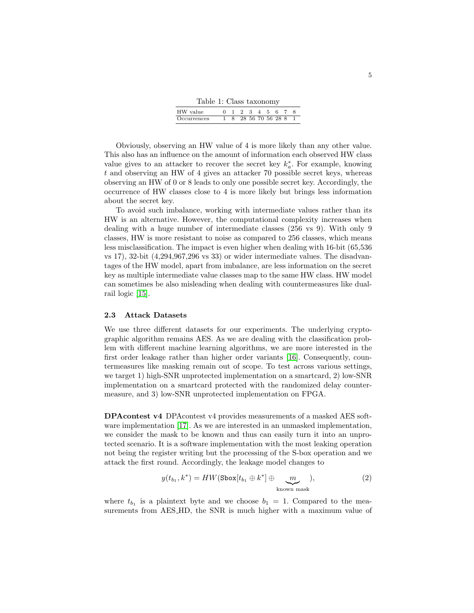Table 1: Class taxonomy

| HW value    |  |                  |  | 5. |  |  |
|-------------|--|------------------|--|----|--|--|
| Occurrences |  | 28 56 70 56 28 8 |  |    |  |  |

<span id="page-4-0"></span>Obviously, observing an HW value of 4 is more likely than any other value. This also has an influence on the amount of information each observed HW class value gives to an attacker to recover the secret key  $k_a^*$ . For example, knowing t and observing an HW of 4 gives an attacker 70 possible secret keys, whereas observing an HW of 0 or 8 leads to only one possible secret key. Accordingly, the occurrence of HW classes close to 4 is more likely but brings less information about the secret key.

To avoid such imbalance, working with intermediate values rather than its HW is an alternative. However, the computational complexity increases when dealing with a huge number of intermediate classes (256 vs 9). With only 9 classes, HW is more resistant to noise as compared to 256 classes, which means less misclassification. The impact is even higher when dealing with 16-bit (65,536 vs 17), 32-bit (4,294,967,296 vs 33) or wider intermediate values. The disadvantages of the HW model, apart from imbalance, are less information on the secret key as multiple intermediate value classes map to the same HW class. HW model can sometimes be also misleading when dealing with countermeasures like dualrail logic [\[15\]](#page-26-11).

#### 2.3 Attack Datasets

We use three different datasets for our experiments. The underlying cryptographic algorithm remains AES. As we are dealing with the classification problem with different machine learning algorithms, we are more interested in the first order leakage rather than higher order variants [\[16\]](#page-26-12). Consequently, countermeasures like masking remain out of scope. To test across various settings, we target 1) high-SNR unprotected implementation on a smartcard, 2) low-SNR implementation on a smartcard protected with the randomized delay countermeasure, and 3) low-SNR unprotected implementation on FPGA.

DPAcontest v4 DPAcontest v4 provides measurements of a masked AES soft-ware implementation [\[17\]](#page-26-13). As we are interested in an unmasked implementation, we consider the mask to be known and thus can easily turn it into an unprotected scenario. It is a software implementation with the most leaking operation not being the register writing but the processing of the S-box operation and we attack the first round. Accordingly, the leakage model changes to

$$
y(t_{b_1}, k^*) = HW(\text{Sbox}[t_{b_1} \oplus k^*] \oplus \underbrace{m}_{\text{known mask}}),
$$
 (2)

where  $t_{b_1}$  is a plaintext byte and we choose  $b_1 = 1$ . Compared to the measurements from AES HD, the SNR is much higher with a maximum value of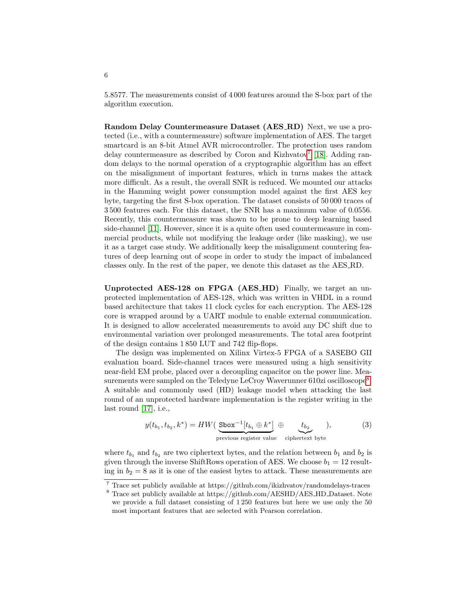5.8577. The measurements consist of 4 000 features around the S-box part of the algorithm execution.

Random Delay Countermeasure Dataset (AES RD) Next, we use a protected (i.e., with a countermeasure) software implementation of AES. The target smartcard is an 8-bit Atmel AVR microcontroller. The protection uses random delay countermeasure as described by Coron and Kizhvatov<sup>[7](#page-5-0)</sup> [\[18\]](#page-26-14). Adding random delays to the normal operation of a cryptographic algorithm has an effect on the misalignment of important features, which in turns makes the attack more difficult. As a result, the overall SNR is reduced. We mounted our attacks in the Hamming weight power consumption model against the first AES key byte, targeting the first S-box operation. The dataset consists of 50 000 traces of 3 500 features each. For this dataset, the SNR has a maximum value of 0.0556. Recently, this countermeasure was shown to be prone to deep learning based side-channel [\[11\]](#page-26-7). However, since it is a quite often used countermeasure in commercial products, while not modifying the leakage order (like masking), we use it as a target case study. We additionally keep the misalignment countering features of deep learning out of scope in order to study the impact of imbalanced classes only. In the rest of the paper, we denote this dataset as the AES RD.

Unprotected AES-128 on FPGA (AES HD) Finally, we target an unprotected implementation of AES-128, which was written in VHDL in a round based architecture that takes 11 clock cycles for each encryption. The AES-128 core is wrapped around by a UART module to enable external communication. It is designed to allow accelerated measurements to avoid any DC shift due to environmental variation over prolonged measurements. The total area footprint of the design contains 1 850 LUT and 742 flip-flops.

The design was implemented on Xilinx Virtex-5 FPGA of a SASEBO GII evaluation board. Side-channel traces were measured using a high sensitivity near-field EM probe, placed over a decoupling capacitor on the power line. Mea-surements were sampled on the Teledyne LeCroy Waverunner 610zi oscilloscope<sup>[8](#page-5-1)</sup>. A suitable and commonly used (HD) leakage model when attacking the last round of an unprotected hardware implementation is the register writing in the last round [\[17\]](#page-26-13), i.e.,

$$
y(t_{b_1}, t_{b_2}, k^*) = HW\left(\frac{\text{Sbox}^{-1}[t_{b_1} \oplus k^*]}{\text{previous register value}} \oplus \underbrace{t_{b_2}}_{\text{ciphertext byte}}\right),\tag{3}
$$

where  $t_{b_1}$  and  $t_{b_2}$  are two ciphertext bytes, and the relation between  $b_1$  and  $b_2$  is given through the inverse ShiftRows operation of AES. We choose  $b_1 = 12$  resulting in  $b_2 = 8$  as it is one of the easiest bytes to attack. These measurements are

6

<span id="page-5-0"></span> $^7$  Trace set publicly available at https://github.com/ikizhvatov/randomdelays-traces

<span id="page-5-1"></span> $^8$  Trace set publicly available at https://github.com/AESHD/AES\_HD\_Dataset. Note we provide a full dataset consisting of 1 250 features but here we use only the 50 most important features that are selected with Pearson correlation.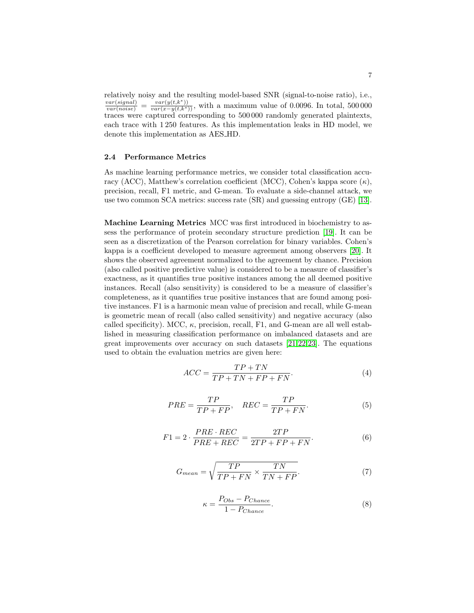relatively noisy and the resulting model-based SNR (signal-to-noise ratio), i.e.,  $\frac{var(signal)}{var(noise)} = \frac{var(y(t, k^*))}{var(x-y(t, k^*))}$ , with a maximum value of 0.0096. In total, 500 000 traces were captured corresponding to 500 000 randomly generated plaintexts, each trace with 1 250 features. As this implementation leaks in HD model, we denote this implementation as AES HD.

#### 2.4 Performance Metrics

As machine learning performance metrics, we consider total classification accuracy (ACC), Matthew's correlation coefficient (MCC), Cohen's kappa score  $(\kappa)$ , precision, recall, F1 metric, and G-mean. To evaluate a side-channel attack, we use two common SCA metrics: success rate (SR) and guessing entropy (GE) [\[13\]](#page-26-9).

<span id="page-6-1"></span>Machine Learning Metrics MCC was first introduced in biochemistry to assess the performance of protein secondary structure prediction [\[19\]](#page-26-15). It can be seen as a discretization of the Pearson correlation for binary variables. Cohen's kappa is a coefficient developed to measure agreement among observers [\[20\]](#page-27-0). It shows the observed agreement normalized to the agreement by chance. Precision (also called positive predictive value) is considered to be a measure of classifier's exactness, as it quantifies true positive instances among the all deemed positive instances. Recall (also sensitivity) is considered to be a measure of classifier's completeness, as it quantifies true positive instances that are found among positive instances. F1 is a harmonic mean value of precision and recall, while G-mean is geometric mean of recall (also called sensitivity) and negative accuracy (also called specificity). MCC,  $\kappa$ , precision, recall, F1, and G-mean are all well established in measuring classification performance on imbalanced datasets and are great improvements over accuracy on such datasets [\[21,](#page-27-1)[22,](#page-27-2)[23\]](#page-27-3). The equations used to obtain the evaluation metrics are given here:

<span id="page-6-0"></span>
$$
ACC = \frac{TP + TN}{TP + TN + FP + FN}.\tag{4}
$$

$$
PRE = \frac{TP}{TP + FP}, \quad REC = \frac{TP}{TP + FN}.
$$
\n<sup>(5)</sup>

$$
F1 = 2 \cdot \frac{PRE \cdot REC}{PRE + REC} = \frac{2TP}{2TP + FP + FN}.\tag{6}
$$

$$
G_{mean} = \sqrt{\frac{TP}{TP + FN} \times \frac{TN}{TN + FP}}.
$$
\n(7)

$$
\kappa = \frac{P_{Obs} - P_{Change}}{1 - P_{Change}}.\tag{8}
$$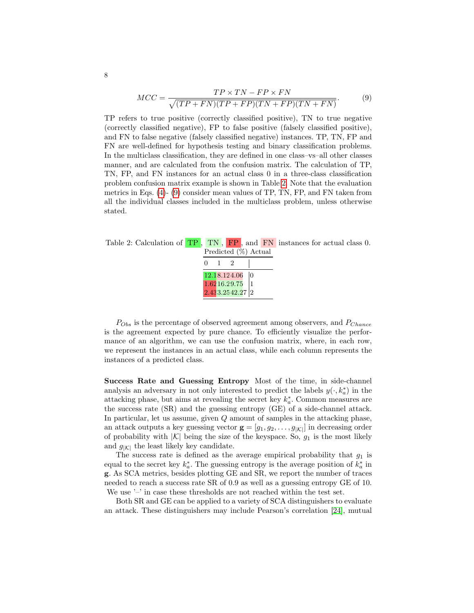<span id="page-7-1"></span>
$$
MCC = \frac{TP \times TN - FP \times FN}{\sqrt{(TP + FN)(TP + FP)(TN + FP)(TN + FN)}}.
$$
 (9)

TP refers to true positive (correctly classified positive), TN to true negative (correctly classified negative), FP to false positive (falsely classified positive), and FN to false negative (falsely classified negative) instances. TP, TN, FP and FN are well-defined for hypothesis testing and binary classification problems. In the multiclass classification, they are defined in one class–vs–all other classes manner, and are calculated from the confusion matrix. The calculation of TP, TN, FP, and FN instances for an actual class 0 in a three-class classification problem confusion matrix example is shown in Table [2.](#page-7-0) Note that the evaluation metrics in Eqs.  $(4)$ -  $(9)$  consider mean values of TP, TN, FP, and FN taken from all the individual classes included in the multiclass problem, unless otherwise stated.

<span id="page-7-0"></span>Table 2: Calculation of TP, TN, FP, and FN instances for actual class 0. Predicted (%) Actual

| 0 | 2                             |    |
|---|-------------------------------|----|
|   | 12.18.124.06                  | lo |
|   | 1.62 16.29.75                 |    |
|   | $2.433.2542.27\left 2\right.$ |    |

 $P_{Obs}$  is the percentage of observed agreement among observers, and  $P_{Change}$ is the agreement expected by pure chance. To efficiently visualize the performance of an algorithm, we can use the confusion matrix, where, in each row, we represent the instances in an actual class, while each column represents the instances of a predicted class.

Success Rate and Guessing Entropy Most of the time, in side-channel analysis an adversary in not only interested to predict the labels  $y(\cdot, k_a^*)$  in the attacking phase, but aims at revealing the secret key  $k_a^*$ . Common measures are the success rate (SR) and the guessing entropy (GE) of a side-channel attack. In particular, let us assume, given Q amount of samples in the attacking phase, an attack outputs a key guessing vector  $\mathbf{g} = [g_1, g_2, \dots, g_{|\mathcal{K}|}]$  in decreasing order of probability with  $|K|$  being the size of the keyspace. So,  $g_1$  is the most likely and  $g_{|\mathcal{K}|}$  the least likely key candidate.

The success rate is defined as the average empirical probability that  $g_1$  is equal to the secret key  $k_a^*$ . The guessing entropy is the average position of  $k_a^*$  in g. As SCA metrics, besides plotting GE and SR, we report the number of traces needed to reach a success rate SR of 0.9 as well as a guessing entropy GE of 10. We use '–' in case these thresholds are not reached within the test set.

Both SR and GE can be applied to a variety of SCA distinguishers to evaluate an attack. These distinguishers may include Pearson's correlation [\[24\]](#page-27-4), mutual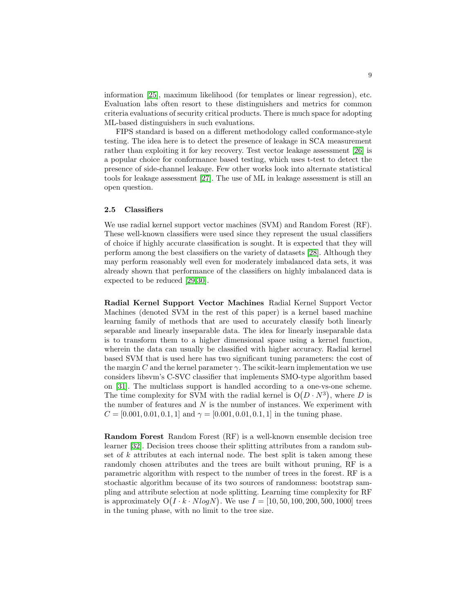information [\[25\]](#page-27-5), maximum likelihood (for templates or linear regression), etc. Evaluation labs often resort to these distinguishers and metrics for common criteria evaluations of security critical products. There is much space for adopting ML-based distinguishers in such evaluations.

FIPS standard is based on a different methodology called conformance-style testing. The idea here is to detect the presence of leakage in SCA measurement rather than exploiting it for key recovery. Test vector leakage assessment [\[26\]](#page-27-6) is a popular choice for conformance based testing, which uses t-test to detect the presence of side-channel leakage. Few other works look into alternate statistical tools for leakage assessment [\[27\]](#page-27-7). The use of ML in leakage assessment is still an open question.

#### 2.5 Classifiers

We use radial kernel support vector machines (SVM) and Random Forest (RF). These well-known classifiers were used since they represent the usual classifiers of choice if highly accurate classification is sought. It is expected that they will perform among the best classifiers on the variety of datasets [\[28\]](#page-27-8). Although they may perform reasonably well even for moderately imbalanced data sets, it was already shown that performance of the classifiers on highly imbalanced data is expected to be reduced [\[29,](#page-27-9)[30\]](#page-27-10).

Radial Kernel Support Vector Machines Radial Kernel Support Vector Machines (denoted SVM in the rest of this paper) is a kernel based machine learning family of methods that are used to accurately classify both linearly separable and linearly inseparable data. The idea for linearly inseparable data is to transform them to a higher dimensional space using a kernel function, wherein the data can usually be classified with higher accuracy. Radial kernel based SVM that is used here has two significant tuning parameters: the cost of the margin C and the kernel parameter  $\gamma$ . The scikit-learn implementation we use considers libsvm's C-SVC classifier that implements SMO-type algorithm based on [\[31\]](#page-27-11). The multiclass support is handled according to a one-vs-one scheme. The time complexity for SVM with the radial kernel is  $O(D \cdot N^3)$ , where D is the number of features and  $N$  is the number of instances. We experiment with  $C = [0.001, 0.01, 0.1, 1]$  and  $\gamma = [0.001, 0.01, 0.1, 1]$  in the tuning phase.

Random Forest Random Forest (RF) is a well-known ensemble decision tree learner [\[32\]](#page-27-12). Decision trees choose their splitting attributes from a random subset of  $k$  attributes at each internal node. The best split is taken among these randomly chosen attributes and the trees are built without pruning, RF is a parametric algorithm with respect to the number of trees in the forest. RF is a stochastic algorithm because of its two sources of randomness: bootstrap sampling and attribute selection at node splitting. Learning time complexity for RF is approximately  $O(I \cdot k \cdot N log N)$ . We use  $I = [10, 50, 100, 200, 500, 1000]$  trees in the tuning phase, with no limit to the tree size.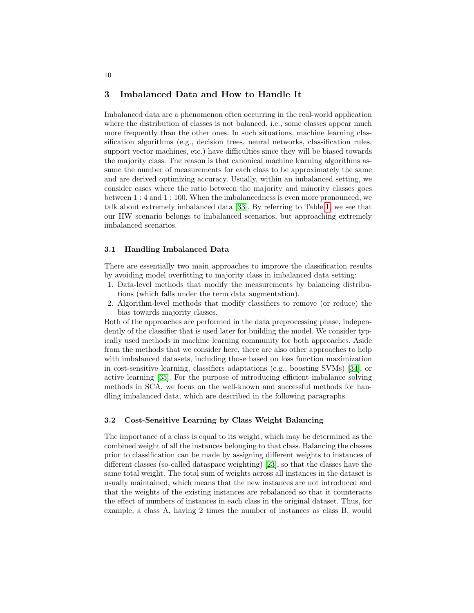## 3 Imbalanced Data and How to Handle It

Imbalanced data are a phenomenon often occurring in the real-world application where the distribution of classes is not balanced, i.e., some classes appear much more frequently than the other ones. In such situations, machine learning classification algorithms (e.g., decision trees, neural networks, classification rules, support vector machines, etc.) have difficulties since they will be biased towards the majority class. The reason is that canonical machine learning algorithms assume the number of measurements for each class to be approximately the same and are derived optimizing accuracy. Usually, within an imbalanced setting, we consider cases where the ratio between the majority and minority classes goes between 1 : 4 and 1 : 100. When the imbalancedness is even more pronounced, we talk about extremely imbalanced data [\[33\]](#page-27-13). By referring to Table [1,](#page-4-0) we see that our HW scenario belongs to imbalanced scenarios, but approaching extremely imbalanced scenarios.

#### 3.1 Handling Imbalanced Data

There are essentially two main approaches to improve the classification results by avoiding model overfitting to majority class in imbalanced data setting:

- 1. Data-level methods that modify the measurements by balancing distributions (which falls under the term data augmentation).
- 2. Algorithm-level methods that modify classifiers to remove (or reduce) the bias towards majority classes.

Both of the approaches are performed in the data preprocessing phase, independently of the classifier that is used later for building the model. We consider typically used methods in machine learning community for both approaches. Aside from the methods that we consider here, there are also other approaches to help with imbalanced datasets, including those based on loss function maximization in cost-sensitive learning, classifiers adaptations (e.g., boosting SVMs) [\[34\]](#page-27-14), or active learning [\[35\]](#page-27-15). For the purpose of introducing efficient imbalance solving methods in SCA, we focus on the well-known and successful methods for handling imbalanced data, which are described in the following paragraphs.

#### 3.2 Cost-Sensitive Learning by Class Weight Balancing

The importance of a class is equal to its weight, which may be determined as the combined weight of all the instances belonging to that class. Balancing the classes prior to classification can be made by assigning different weights to instances of different classes (so-called dataspace weighting) [\[23\]](#page-27-3), so that the classes have the same total weight. The total sum of weights across all instances in the dataset is usually maintained, which means that the new instances are not introduced and that the weights of the existing instances are rebalanced so that it counteracts the effect of numbers of instances in each class in the original dataset. Thus, for example, a class A, having 2 times the number of instances as class B, would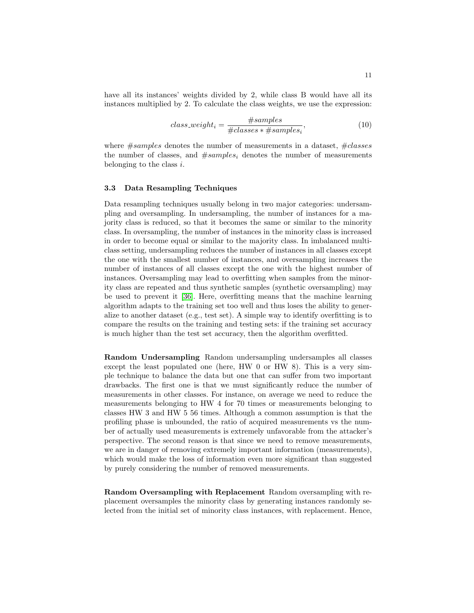have all its instances' weights divided by 2, while class B would have all its instances multiplied by 2. To calculate the class weights, we use the expression:

$$
class\_weight_i = \frac{\#samples}{\#classes * \#samples_i},\tag{10}
$$

where  $\#samples$  denotes the number of measurements in a dataset,  $\#classes$ the number of classes, and  $#samples_i$  denotes the number of measurements belonging to the class  $i$ .

#### 3.3 Data Resampling Techniques

Data resampling techniques usually belong in two major categories: undersampling and oversampling. In undersampling, the number of instances for a majority class is reduced, so that it becomes the same or similar to the minority class. In oversampling, the number of instances in the minority class is increased in order to become equal or similar to the majority class. In imbalanced multiclass setting, undersampling reduces the number of instances in all classes except the one with the smallest number of instances, and oversampling increases the number of instances of all classes except the one with the highest number of instances. Oversampling may lead to overfitting when samples from the minority class are repeated and thus synthetic samples (synthetic oversampling) may be used to prevent it [\[36\]](#page-27-16). Here, overfitting means that the machine learning algorithm adapts to the training set too well and thus loses the ability to generalize to another dataset (e.g., test set). A simple way to identify overfitting is to compare the results on the training and testing sets: if the training set accuracy is much higher than the test set accuracy, then the algorithm overfitted.

Random Undersampling Random undersampling undersamples all classes except the least populated one (here, HW 0 or HW 8). This is a very simple technique to balance the data but one that can suffer from two important drawbacks. The first one is that we must significantly reduce the number of measurements in other classes. For instance, on average we need to reduce the measurements belonging to HW 4 for 70 times or measurements belonging to classes HW 3 and HW 5 56 times. Although a common assumption is that the profiling phase is unbounded, the ratio of acquired measurements vs the number of actually used measurements is extremely unfavorable from the attacker's perspective. The second reason is that since we need to remove measurements, we are in danger of removing extremely important information (measurements), which would make the loss of information even more significant than suggested by purely considering the number of removed measurements.

Random Oversampling with Replacement Random oversampling with replacement oversamples the minority class by generating instances randomly selected from the initial set of minority class instances, with replacement. Hence,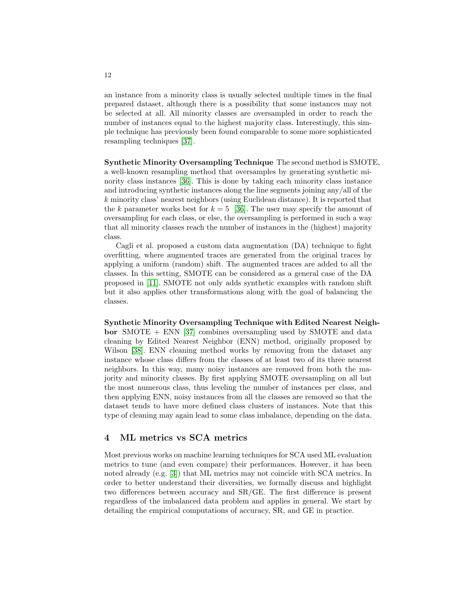an instance from a minority class is usually selected multiple times in the final prepared dataset, although there is a possibility that some instances may not be selected at all. All minority classes are oversampled in order to reach the number of instances equal to the highest majority class. Interestingly, this simple technique has previously been found comparable to some more sophisticated resampling techniques [\[37\]](#page-27-17).

Synthetic Minority Oversampling Technique The second method is SMOTE, a well-known resampling method that oversamples by generating synthetic minority class instances [\[36\]](#page-27-16). This is done by taking each minority class instance and introducing synthetic instances along the line segments joining any/all of the k minority class' nearest neighbors (using Euclidean distance). It is reported that the k parameter works best for  $k = 5$  [\[36\]](#page-27-16). The user may specify the amount of oversampling for each class, or else, the oversampling is performed in such a way that all minority classes reach the number of instances in the (highest) majority class.

Cagli et al. proposed a custom data augmentation (DA) technique to fight overfitting, where augmented traces are generated from the original traces by applying a uniform (random) shift. The augmented traces are added to all the classes. In this setting, SMOTE can be considered as a general case of the DA proposed in [\[11\]](#page-26-7). SMOTE not only adds synthetic examples with random shift but it also applies other transformations along with the goal of balancing the classes.

Synthetic Minority Oversampling Technique with Edited Nearest Neighbor  $SMOTE + ENN$  [\[37\]](#page-27-17) combines oversampling used by SMOTE and data cleaning by Edited Nearest Neighbor (ENN) method, originally proposed by Wilson [\[38\]](#page-28-0). ENN cleaning method works by removing from the dataset any instance whose class differs from the classes of at least two of its three nearest neighbors. In this way, many noisy instances are removed from both the majority and minority classes. By first applying SMOTE oversampling on all but the most numerous class, thus leveling the number of instances per class, and then applying ENN, noisy instances from all the classes are removed so that the dataset tends to have more defined class clusters of instances. Note that this type of cleaning may again lead to some class imbalance, depending on the data.

# 4 ML metrics vs SCA metrics

Most previous works on machine learning techniques for SCA used ML evaluation metrics to tune (and even compare) their performances. However, it has been noted already (e.g. [\[3\]](#page-25-2)) that ML metrics may not coincide with SCA metrics. In order to better understand their diversities, we formally discuss and highlight two differences between accuracy and SR/GE. The first difference is present regardless of the imbalanced data problem and applies in general. We start by detailing the empirical computations of accuracy, SR, and GE in practice.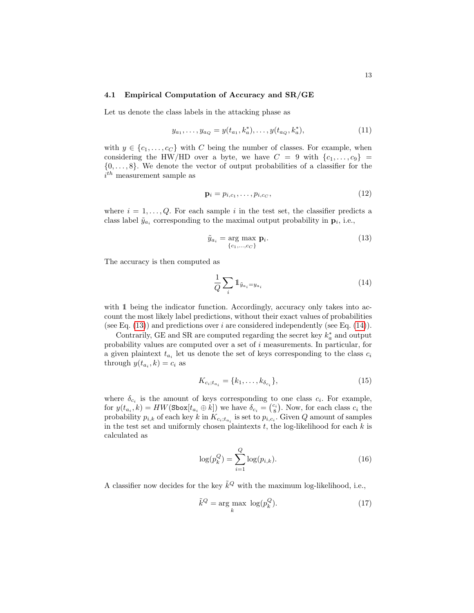#### 4.1 Empirical Computation of Accuracy and SR/GE

Let us denote the class labels in the attacking phase as

$$
y_{a_1}, \dots, y_{a_Q} = y(t_{a_1}, k_a^*), \dots, y(t_{a_Q}, k_a^*), \tag{11}
$$

with  $y \in \{c_1, \ldots, c_C\}$  with C being the number of classes. For example, when considering the HW/HD over a byte, we have  $C = 9$  with  $\{c_1, \ldots, c_9\}$  $\{0, \ldots, 8\}$ . We denote the vector of output probabilities of a classifier for the  $i^{th}$  measurement sample as

$$
\mathbf{p}_i = p_{i,c_1}, \dots, p_{i,c_C},\tag{12}
$$

where  $i = 1, \ldots, Q$ . For each sample i in the test set, the classifier predicts a class label  $\tilde{y}_{a_i}$  corresponding to the maximal output probability in  $\mathbf{p}_i$ , i.e.,

<span id="page-12-0"></span>
$$
\tilde{y}_{a_i} = \underset{\{c_1, \dots, c_C\}}{\arg \max} \mathbf{p}_i. \tag{13}
$$

The accuracy is then computed as

<span id="page-12-1"></span>
$$
\frac{1}{Q} \sum_{i} \mathbb{1}_{\tilde{y}_{a_i} = y_{a_i}} \tag{14}
$$

with 1 being the indicator function. Accordingly, accuracy only takes into account the most likely label predictions, without their exact values of probabilities (see Eq.  $(13)$ ) and predictions over *i* are considered independently (see Eq.  $(14)$ ).

Contrarily, GE and SR are computed regarding the secret key  $k_a^*$  and output probability values are computed over a set of i measurements. In particular, for a given plaintext  $t_{a_i}$  let us denote the set of keys corresponding to the class  $c_i$ through  $y(t_{a_i}, k) = c_i$  as

<span id="page-12-3"></span>
$$
K_{c_i; t_{a_i}} = \{k_1, \dots, k_{\delta_{c_i}}\},\tag{15}
$$

where  $\delta_{c_i}$  is the amount of keys corresponding to one class  $c_i$ . For example, for  $y(t_{a_i}, k) = HW(\text{Sbox}[t_{a_i} \oplus k])$  we have  $\delta_{c_i} = \binom{c_i}{8}$ . Now, for each class  $c_i$  the probability  $p_{i,k}$  of each key k in  $K_{c_i;t_{a_i}}$  is set to  $p_{i,c_i}$ . Given Q amount of samples in the test set and uniformly chosen plaintexts  $t$ , the log-likelihood for each  $k$  is calculated as

<span id="page-12-2"></span>
$$
\log(p_k^Q) = \sum_{i=1}^Q \log(p_{i,k}).
$$
\n(16)

A classifier now decides for the key  $\tilde{k}^Q$  with the maximum log-likelihood, i.e.,

$$
\tilde{k}^Q = \arg\max_k \log(p_k^Q). \tag{17}
$$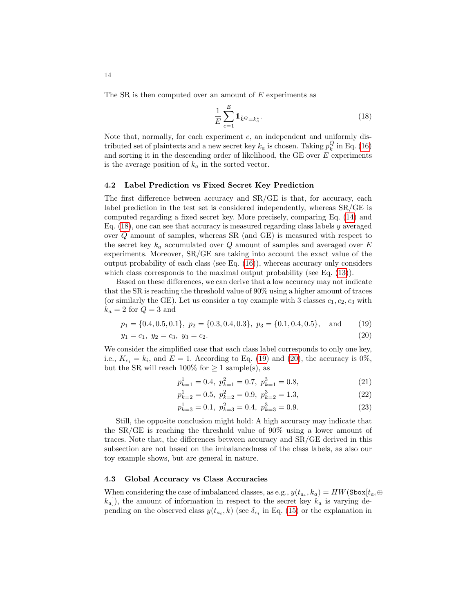The SR is then computed over an amount of E experiments as

<span id="page-13-0"></span>
$$
\frac{1}{E} \sum_{e=1}^{E} \mathbb{1}_{\tilde{k}^Q = k_a^*}.\tag{18}
$$

Note that, normally, for each experiment e, an independent and uniformly distributed set of plaintexts and a new secret key  $k_a$  is chosen. Taking  $p_k^Q$  in Eq. [\(16\)](#page-12-2) and sorting it in the descending order of likelihood, the GE over  $E$  experiments is the average position of  $k_a$  in the sorted vector.

#### <span id="page-13-3"></span>4.2 Label Prediction vs Fixed Secret Key Prediction

The first difference between accuracy and SR/GE is that, for accuracy, each label prediction in the test set is considered independently, whereas SR/GE is computed regarding a fixed secret key. More precisely, comparing Eq. [\(14\)](#page-12-1) and Eq.  $(18)$ , one can see that accuracy is measured regarding class labels y averaged over Q amount of samples, whereas SR (and GE) is measured with respect to the secret key  $k_a$  accumulated over Q amount of samples and averaged over E experiments. Moreover, SR/GE are taking into account the exact value of the output probability of each class (see Eq.  $(16)$ ), whereas accuracy only considers which class corresponds to the maximal output probability (see Eq.  $(13)$ ).

Based on these differences, we can derive that a low accuracy may not indicate that the SR is reaching the threshold value of 90% using a higher amount of traces (or similarly the GE). Let us consider a toy example with 3 classes  $c_1, c_2, c_3$  with  $k_a = 2$  for  $Q = 3$  and

$$
p_1 = \{0.4, 0.5, 0.1\}, p_2 = \{0.3, 0.4, 0.3\}, p_3 = \{0.1, 0.4, 0.5\},
$$
 and (19)

$$
y_1 = c_1, \ y_2 = c_3, \ y_3 = c_2. \tag{20}
$$

We consider the simplified case that each class label corresponds to only one key, i.e.,  $K_{c_i} = k_i$ , and  $E = 1$ . According to Eq. [\(19\)](#page-13-1) and [\(20\)](#page-13-2), the accuracy is 0%, but the SR will reach  $100\%$  for  $\geq 1$  sample(s), as

<span id="page-13-2"></span><span id="page-13-1"></span>
$$
p_{k=1}^1 = 0.4, \ p_{k=1}^2 = 0.7, \ p_{k=1}^3 = 0.8,\tag{21}
$$

$$
p_{k=2}^1 = 0.5, \ p_{k=2}^2 = 0.9, \ p_{k=2}^3 = 1.3,\tag{22}
$$

$$
p_{k=3}^1 = 0.1, \ p_{k=3}^2 = 0.4, \ p_{k=3}^3 = 0.9. \tag{23}
$$

Still, the opposite conclusion might hold: A high accuracy may indicate that the SR/GE is reaching the threshold value of 90% using a lower amount of traces. Note that, the differences between accuracy and SR/GE derived in this subsection are not based on the imbalancedness of the class labels, as also our toy example shows, but are general in nature.

# <span id="page-13-4"></span>4.3 Global Accuracy vs Class Accuracies

When considering the case of imbalanced classes, as e.g.,  $y(t_{a_i}, k_a) = HW(\texttt{Sbox}[t_{a_i} \oplus$  $k_a$ ]), the amount of information in respect to the secret key  $k_a$  is varying depending on the observed class  $y(t_{a_i}, k)$  (see  $\delta_{c_i}$  in Eq. [\(15\)](#page-12-3) or the explanation in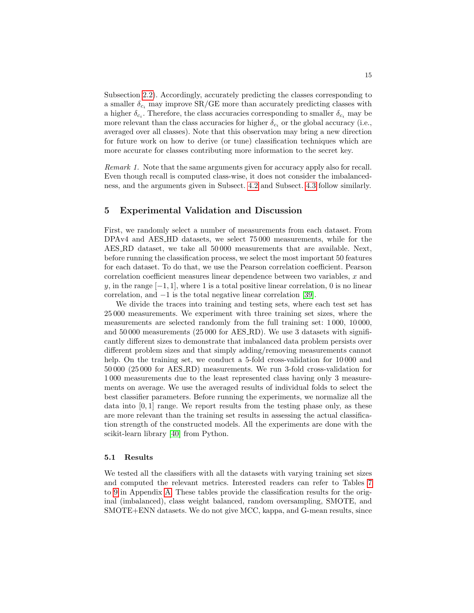Subsection [2.2\)](#page-3-1). Accordingly, accurately predicting the classes corresponding to a smaller  $\delta_{c_i}$  may improve SR/GE more than accurately predicting classes with a higher  $\delta_{c_i}$ . Therefore, the class accuracies corresponding to smaller  $\delta_{c_i}$  may be more relevant than the class accuracies for higher  $\delta_{c_i}$  or the global accuracy (i.e., averaged over all classes). Note that this observation may bring a new direction for future work on how to derive (or tune) classification techniques which are more accurate for classes contributing more information to the secret key.

Remark 1. Note that the same arguments given for accuracy apply also for recall. Even though recall is computed class-wise, it does not consider the imbalancedness, and the arguments given in Subsect. [4.2](#page-13-3) and Subsect. [4.3](#page-13-4) follow similarly.

# 5 Experimental Validation and Discussion

First, we randomly select a number of measurements from each dataset. From DPAv4 and AES HD datasets, we select 75 000 measurements, while for the AES RD dataset, we take all 50 000 measurements that are available. Next, before running the classification process, we select the most important 50 features for each dataset. To do that, we use the Pearson correlation coefficient. Pearson correlation coefficient measures linear dependence between two variables,  $x$  and y, in the range  $[-1, 1]$ , where 1 is a total positive linear correlation, 0 is no linear correlation, and −1 is the total negative linear correlation [\[39\]](#page-28-1).

We divide the traces into training and testing sets, where each test set has 25 000 measurements. We experiment with three training set sizes, where the measurements are selected randomly from the full training set: 1 000, 10 000, and 50 000 measurements (25 000 for AES RD). We use 3 datasets with significantly different sizes to demonstrate that imbalanced data problem persists over different problem sizes and that simply adding/removing measurements cannot help. On the training set, we conduct a 5-fold cross-validation for 10000 and 50 000 (25 000 for AES RD) measurements. We run 3-fold cross-validation for 1 000 measurements due to the least represented class having only 3 measurements on average. We use the averaged results of individual folds to select the best classifier parameters. Before running the experiments, we normalize all the data into  $[0, 1]$  range. We report results from the testing phase only, as these are more relevant than the training set results in assessing the actual classification strength of the constructed models. All the experiments are done with the scikit-learn library [\[40\]](#page-28-2) from Python.

#### 5.1 Results

We tested all the classifiers with all the datasets with varying training set sizes and computed the relevant metrics. Interested readers can refer to Tables [7](#page-29-0) to [9](#page-31-0) in Appendix [A.](#page-28-3) These tables provide the classification results for the original (imbalanced), class weight balanced, random oversampling, SMOTE, and SMOTE+ENN datasets. We do not give MCC, kappa, and G-mean results, since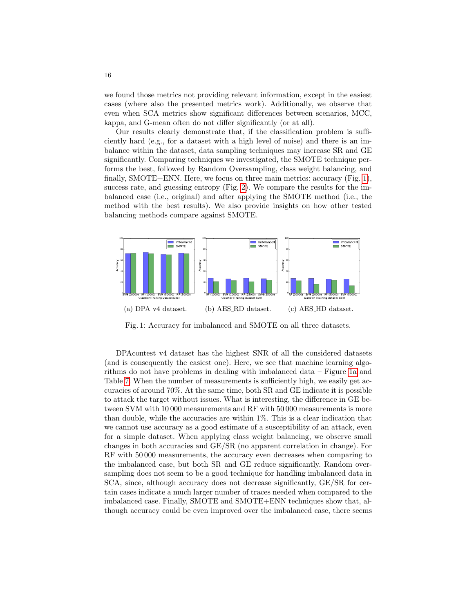we found those metrics not providing relevant information, except in the easiest cases (where also the presented metrics work). Additionally, we observe that even when SCA metrics show significant differences between scenarios, MCC, kappa, and G-mean often do not differ significantly (or at all).

Our results clearly demonstrate that, if the classification problem is sufficiently hard (e.g., for a dataset with a high level of noise) and there is an imbalance within the dataset, data sampling techniques may increase SR and GE significantly. Comparing techniques we investigated, the SMOTE technique performs the best, followed by Random Oversampling, class weight balancing, and finally, SMOTE+ENN. Here, we focus on three main metrics: accuracy (Fig. [1\)](#page-15-0), success rate, and guessing entropy (Fig. [2\)](#page-20-0). We compare the results for the imbalanced case (i.e., original) and after applying the SMOTE method (i.e., the method with the best results). We also provide insights on how other tested balancing methods compare against SMOTE.

<span id="page-15-0"></span>

Fig. 1: Accuracy for imbalanced and SMOTE on all three datasets.

DPAcontest v4 dataset has the highest SNR of all the considered datasets (and is consequently the easiest one). Here, we see that machine learning algorithms do not have problems in dealing with imbalanced data – Figure [1a](#page-15-0) and Table [7.](#page-29-0) When the number of measurements is sufficiently high, we easily get accuracies of around 70%. At the same time, both SR and GE indicate it is possible to attack the target without issues. What is interesting, the difference in GE between SVM with 10 000 measurements and RF with 50 000 measurements is more than double, while the accuracies are within 1%. This is a clear indication that we cannot use accuracy as a good estimate of a susceptibility of an attack, even for a simple dataset. When applying class weight balancing, we observe small changes in both accuracies and GE/SR (no apparent correlation in change). For RF with 50 000 measurements, the accuracy even decreases when comparing to the imbalanced case, but both SR and GE reduce significantly. Random oversampling does not seem to be a good technique for handling imbalanced data in SCA, since, although accuracy does not decrease significantly, GE/SR for certain cases indicate a much larger number of traces needed when compared to the imbalanced case. Finally, SMOTE and SMOTE+ENN techniques show that, although accuracy could be even improved over the imbalanced case, there seems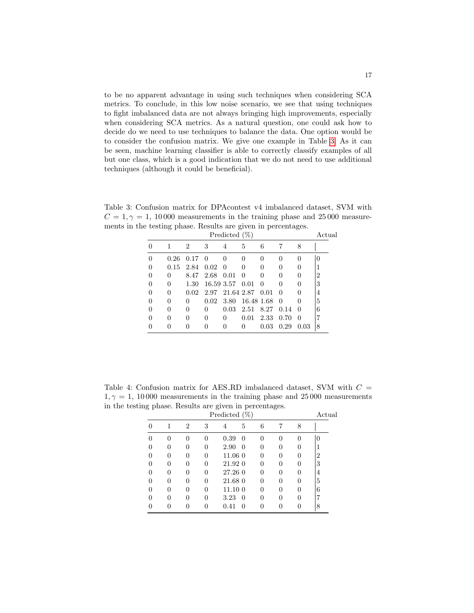to be no apparent advantage in using such techniques when considering SCA metrics. To conclude, in this low noise scenario, we see that using techniques to fight imbalanced data are not always bringing high improvements, especially when considering SCA metrics. As a natural question, one could ask how to decide do we need to use techniques to balance the data. One option would be to consider the confusion matrix. We give one example in Table [3.](#page-16-0) As it can be seen, machine learning classifier is able to correctly classify examples of all but one class, which is a good indication that we do not need to use additional techniques (although it could be beneficial).

<span id="page-16-0"></span>Table 3: Confusion matrix for DPAcontest v4 imbalanced dataset, SVM with  $C = 1, \gamma = 1, 10000$  measurements in the training phase and 25000 measurements in the testing phase. Results are given in percentages.

|          | Predicted $(\%)$ |                |              |                 |                  |              |                  |              |   |  |
|----------|------------------|----------------|--------------|-----------------|------------------|--------------|------------------|--------------|---|--|
|          | 1                | $\overline{2}$ | 3            | 4               | 5                | 6            |                  | 8            |   |  |
| $\Omega$ | 0.26             | 0.17           | $\Omega$     | 0               | $\left( \right)$ |              | $\mathbf{0}$     | $\theta$     |   |  |
| $\Omega$ | 0.15             | 2.84           | 0.02         | -0              | $\mathbf{0}$     | $\mathbf{0}$ |                  | $\theta$     |   |  |
| $\theta$ | $\Omega$         | 8.47           | 2.68         | 0.01            | $\Omega$         | $\mathbf{0}$ |                  | $\theta$     | 2 |  |
| $\theta$ | 0                | 1.30           |              | 16.59 3.57 0.01 |                  | $\Omega$     |                  | $\theta$     | 3 |  |
| $\theta$ | 0                | 0.02           |              | 2.97 21.64 2.87 |                  | 0.01         | $\left( \right)$ |              | 4 |  |
| $\theta$ | 0                | $\theta$       | 0.02         |                 | 3.80 16.48 1.68  |              | -0               | $\mathbf{0}$ | 5 |  |
| $\theta$ | 0                | $\theta$       | $\mathbf{0}$ | 0.03            | 2.51             | 8.27         | 0.14             | $\theta$     | 6 |  |
| $\theta$ | 0                | $\mathbf{0}$   | 0            | 0               | 0.01             | 2.33         | 0.70             | $\theta$     |   |  |
|          | $\mathbf{0}$     |                |              | 0               | $\theta$         | 0.03         | 0.29             | 0.03         | 8 |  |

<span id="page-16-1"></span>Table 4: Confusion matrix for AES\_RD imbalanced dataset, SVM with  $C =$  $1, \gamma = 1$ , 10000 measurements in the training phase and 25000 measurements in the testing phase. Results are given in percentages.

|          |              |                |   | Predicted $(\%)$       |   |   |          | Actual         |
|----------|--------------|----------------|---|------------------------|---|---|----------|----------------|
| 0        |              | $\overline{2}$ | 3 | 5<br>4                 | 6 | 7 | 8        |                |
| 0        |              | 0              | 0 | 0.39<br>$\theta$       | 0 | 0 | 0        |                |
| 0        | $\mathbf{0}$ | 0              | 0 | 2.90<br>$\theta$       | 0 |   | $\theta$ |                |
| 0        |              | 0              | 0 | 11.06 0                | 0 | ∩ | $\theta$ | $\overline{2}$ |
| 0        | $\mathbf{0}$ | 0              | 0 | 21.92 0                | 0 | ∩ | 0        | 3              |
| 0        |              | $\Omega$       | 0 | 27.26 0                | 0 | ∩ | $\theta$ | 4              |
| 0        |              | 0              | 0 | 21.68 0                | 0 |   | $\theta$ | 5              |
| $\theta$ |              | 0              | 0 | 11.100                 | 0 | ∩ | 0        | 6              |
| 0        |              | 0              | 0 | 3.23<br>$\overline{0}$ | 0 |   | 0        | 7              |
| 0        |              | 0              | 0 | 0.41<br>0              | 0 | ∩ | 0        | 8              |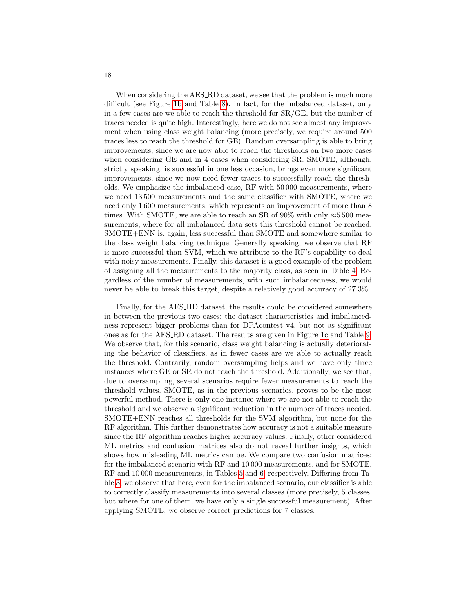When considering the AES RD dataset, we see that the problem is much more difficult (see Figure [1b](#page-15-0) and Table [8\)](#page-30-0). In fact, for the imbalanced dataset, only in a few cases are we able to reach the threshold for SR/GE, but the number of traces needed is quite high. Interestingly, here we do not see almost any improvement when using class weight balancing (more precisely, we require around 500 traces less to reach the threshold for GE). Random oversampling is able to bring improvements, since we are now able to reach the thresholds on two more cases when considering GE and in 4 cases when considering SR. SMOTE, although, strictly speaking, is successful in one less occasion, brings even more significant improvements, since we now need fewer traces to successfully reach the thresholds. We emphasize the imbalanced case, RF with 50 000 measurements, where we need 13 500 measurements and the same classifier with SMOTE, where we need only 1 600 measurements, which represents an improvement of more than 8 times. With SMOTE, we are able to reach an SR of 90% with only  $\approx 5500$  measurements, where for all imbalanced data sets this threshold cannot be reached. SMOTE+ENN is, again, less successful than SMOTE and somewhere similar to the class weight balancing technique. Generally speaking, we observe that RF is more successful than SVM, which we attribute to the RF's capability to deal with noisy measurements. Finally, this dataset is a good example of the problem of assigning all the measurements to the majority class, as seen in Table [4.](#page-16-1) Regardless of the number of measurements, with such imbalancedness, we would never be able to break this target, despite a relatively good accuracy of 27.3%.

Finally, for the AES HD dataset, the results could be considered somewhere in between the previous two cases: the dataset characteristics and imbalancedness represent bigger problems than for DPAcontest v4, but not as significant ones as for the AES RD dataset. The results are given in Figure [1c](#page-15-0) and Table [9.](#page-31-0) We observe that, for this scenario, class weight balancing is actually deteriorating the behavior of classifiers, as in fewer cases are we able to actually reach the threshold. Contrarily, random oversampling helps and we have only three instances where GE or SR do not reach the threshold. Additionally, we see that, due to oversampling, several scenarios require fewer measurements to reach the threshold values. SMOTE, as in the previous scenarios, proves to be the most powerful method. There is only one instance where we are not able to reach the threshold and we observe a significant reduction in the number of traces needed. SMOTE+ENN reaches all thresholds for the SVM algorithm, but none for the RF algorithm. This further demonstrates how accuracy is not a suitable measure since the RF algorithm reaches higher accuracy values. Finally, other considered ML metrics and confusion matrices also do not reveal further insights, which shows how misleading ML metrics can be. We compare two confusion matrices: for the imbalanced scenario with RF and 10 000 measurements, and for SMOTE, RF and 10 000 measurements, in Tables [5](#page-18-0) and [6,](#page-18-1) respectively. Differing from Table [3,](#page-16-0) we observe that here, even for the imbalanced scenario, our classifier is able to correctly classify measurements into several classes (more precisely, 5 classes, but where for one of them, we have only a single successful measurement). After applying SMOTE, we observe correct predictions for 7 classes.

18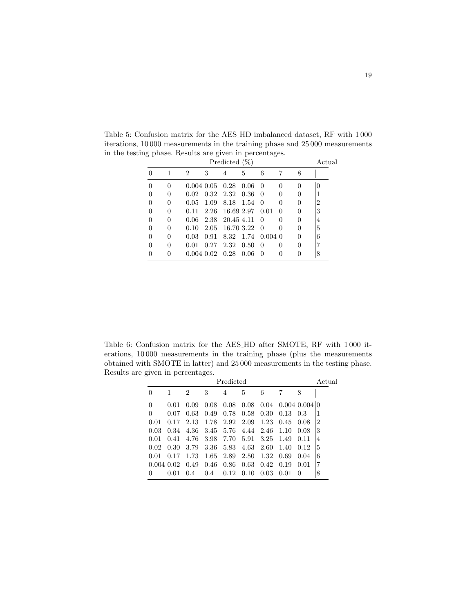|          |   |      |                       | Predicted $(\%)$     |        |                  |              |          | Actual |
|----------|---|------|-----------------------|----------------------|--------|------------------|--------------|----------|--------|
| 0        | 1 | 2    | 3                     | 4                    | 5      | 6                | 7            | 8        |        |
| 0        | 0 |      | $0.004$ $0.05$ $0.28$ |                      | 0.06   | -0               | 0            | $\theta$ |        |
| $\Omega$ | 0 | 0.02 |                       | $0.32$ $2.32$ $0.36$ |        | $\Omega$         | 0            | $\theta$ |        |
| $\Omega$ | 0 | 0.05 | 1.09                  | 8.18                 | - 1.54 | $\Omega$         | 0            | 0        | 2      |
| $\Omega$ | 0 | 0.11 | 2.26                  | 16.69 2.97           |        | 0.01             | 0            | 0        | 3      |
| $\Omega$ | 0 | 0.06 |                       | 2.38 20.45 4.11      |        | $\Omega$         |              | $\theta$ | 4      |
| $\Omega$ | 0 | 0.10 | 2.05                  | 16.70 3.22           |        | $\Omega$         |              | $\theta$ | 5      |
| $\Omega$ | 0 | 0.03 | 0.91                  | 8.32                 | - 1.74 | $0.004\;0$       |              | $\theta$ | 6      |
| 0        | 0 | 0.01 | 0.27                  | 2.32                 | 0.50   | $\left( \right)$ | $\mathbf{0}$ | $\theta$ |        |
| $\theta$ | 0 |      | $0.004$ $0.02$ $0.28$ |                      | 0.06   | $\theta$         | $\mathbf{0}$ | 0        | 8      |

<span id="page-18-0"></span>Table 5: Confusion matrix for the AES HD imbalanced dataset, RF with 1 000 iterations, 10 000 measurements in the training phase and 25 000 measurements in the testing phase. Results are given in percentages.

<span id="page-18-1"></span>Table 6: Confusion matrix for the AES HD after SMOTE, RF with 1 000 iterations, 10 000 measurements in the training phase (plus the measurements obtained with SMOTE in latter) and 25 000 measurements in the testing phase. Results are given in percentages.

|          | Predicted      |                |      |      |      |      |      |                      |                |
|----------|----------------|----------------|------|------|------|------|------|----------------------|----------------|
| 0        |                | $\overline{2}$ | 3    | 4    | 5    | 6    |      | 8                    |                |
| $\theta$ | 0.01           | 0.09           | 0.08 | 0.08 | 0.08 | 0.04 |      | $0.004$ $0.004$ $ 0$ |                |
| 0        | 0.07           | 0.63           | 0.49 | 0.78 | 0.58 | 0.30 | 0.13 | 0.3                  |                |
| 0.01     | 0.17           | 2.13           | 1.78 | 2.92 | 2.09 | 1.23 | 0.45 | 0.08                 | $\overline{2}$ |
| 0.03     | 0.34           | 4.36           | 3.45 | 5.76 | 4.44 | 2.46 | 1.10 | 0.08                 | 3              |
| 0.01     | 0.41           | 4.76           | 3.98 | 7.70 | 5.91 | 3.25 | 1.49 | 0.11                 | 4              |
| 0.02     | 0.30           | 3.79           | 3.36 | 5.83 | 4.63 | 2.60 | 1.40 | 0.12                 | 5              |
| 0.01     | 0.17           | 1.73           | 1.65 | 2.89 | 2.50 | 1.32 | 0.69 | 0.04                 | 6              |
|          | $0.004$ $0.02$ | 0.49           | 0.46 | 0.86 | 0.63 | 0.42 | 0.19 | 0.01                 |                |
| 0        | 0.01           | 0.4            | 0.4  | 0.12 | 0.10 | 0.03 | 0.01 | $\theta$             | 8              |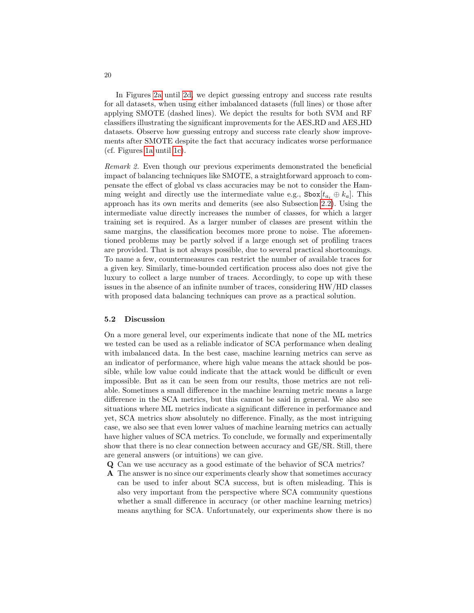In Figures [2a](#page-20-0) until [2d,](#page-20-0) we depict guessing entropy and success rate results for all datasets, when using either imbalanced datasets (full lines) or those after applying SMOTE (dashed lines). We depict the results for both SVM and RF classifiers illustrating the significant improvements for the AES RD and AES HD datasets. Observe how guessing entropy and success rate clearly show improvements after SMOTE despite the fact that accuracy indicates worse performance (cf. Figures [1a](#page-15-0) until [1c\)](#page-15-0).

Remark 2. Even though our previous experiments demonstrated the beneficial impact of balancing techniques like SMOTE, a straightforward approach to compensate the effect of global vs class accuracies may be not to consider the Hamming weight and directly use the intermediate value e.g.,  $\texttt{Sbox}[t_{a_i} \oplus k_a]$ . This approach has its own merits and demerits (see also Subsection [2.2\)](#page-3-1). Using the intermediate value directly increases the number of classes, for which a larger training set is required. As a larger number of classes are present within the same margins, the classification becomes more prone to noise. The aforementioned problems may be partly solved if a large enough set of profiling traces are provided. That is not always possible, due to several practical shortcomings. To name a few, countermeasures can restrict the number of available traces for a given key. Similarly, time-bounded certification process also does not give the luxury to collect a large number of traces. Accordingly, to cope up with these issues in the absence of an infinite number of traces, considering HW/HD classes with proposed data balancing techniques can prove as a practical solution.

#### <span id="page-19-0"></span>5.2 Discussion

On a more general level, our experiments indicate that none of the ML metrics we tested can be used as a reliable indicator of SCA performance when dealing with imbalanced data. In the best case, machine learning metrics can serve as an indicator of performance, where high value means the attack should be possible, while low value could indicate that the attack would be difficult or even impossible. But as it can be seen from our results, those metrics are not reliable. Sometimes a small difference in the machine learning metric means a large difference in the SCA metrics, but this cannot be said in general. We also see situations where ML metrics indicate a significant difference in performance and yet, SCA metrics show absolutely no difference. Finally, as the most intriguing case, we also see that even lower values of machine learning metrics can actually have higher values of SCA metrics. To conclude, we formally and experimentally show that there is no clear connection between accuracy and GE/SR. Still, there are general answers (or intuitions) we can give.

- Q Can we use accuracy as a good estimate of the behavior of SCA metrics?
- A The answer is no since our experiments clearly show that sometimes accuracy can be used to infer about SCA success, but is often misleading. This is also very important from the perspective where SCA community questions whether a small difference in accuracy (or other machine learning metrics) means anything for SCA. Unfortunately, our experiments show there is no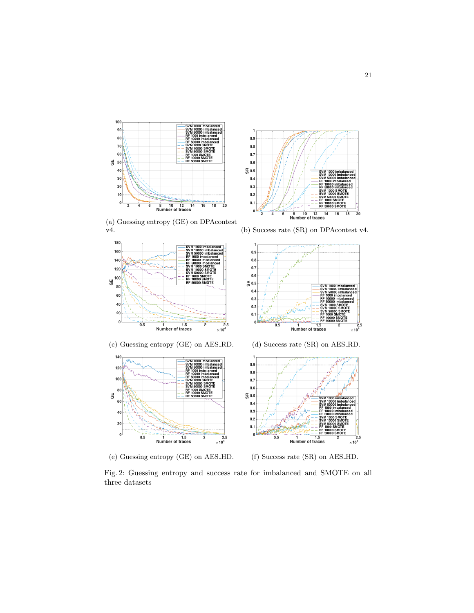<span id="page-20-0"></span>

 $0.9$  $0.8$  $0.7$  $0.6\,$ @ 0.5  $0.4$  $0.3$  $0.2\,$  $0.1$  $\mathbf 0$  $\overrightarrow{8}$   $\overrightarrow{10}$   $\overrightarrow{12}$  1<br>Number of traces  $\overline{14}$  $\overline{16}$  $\overline{18}$  $\overline{2}0$ 

(a) Guessing entropy (GE) on DPAcontest v4. (b) Success rate (SR) on DPAcontest v4.



(c) Guessing entropy (GE) on AES RD. (d) Success rate (SR) on AES RD.



(e) Guessing entropy (GE) on AES HD. (f) Success rate (SR) on AES HD.







Fig. 2: Guessing entropy and success rate for imbalanced and SMOTE on all three datasets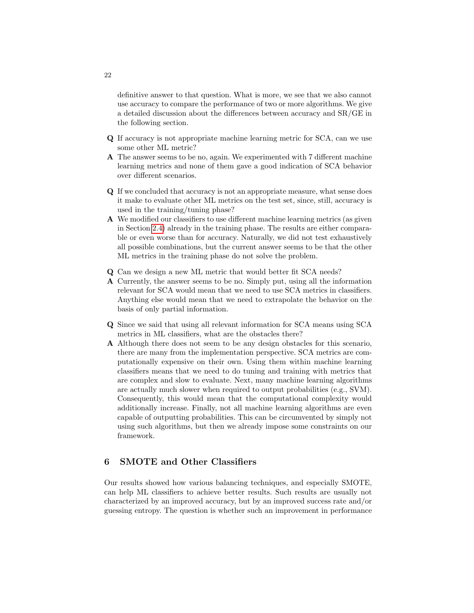definitive answer to that question. What is more, we see that we also cannot use accuracy to compare the performance of two or more algorithms. We give a detailed discussion about the differences between accuracy and SR/GE in the following section.

- Q If accuracy is not appropriate machine learning metric for SCA, can we use some other ML metric?
- A The answer seems to be no, again. We experimented with 7 different machine learning metrics and none of them gave a good indication of SCA behavior over different scenarios.
- Q If we concluded that accuracy is not an appropriate measure, what sense does it make to evaluate other ML metrics on the test set, since, still, accuracy is used in the training/tuning phase?
- A We modified our classifiers to use different machine learning metrics (as given in Section [2.4\)](#page-6-1) already in the training phase. The results are either comparable or even worse than for accuracy. Naturally, we did not test exhaustively all possible combinations, but the current answer seems to be that the other ML metrics in the training phase do not solve the problem.
- Q Can we design a new ML metric that would better fit SCA needs?
- A Currently, the answer seems to be no. Simply put, using all the information relevant for SCA would mean that we need to use SCA metrics in classifiers. Anything else would mean that we need to extrapolate the behavior on the basis of only partial information.
- Q Since we said that using all relevant information for SCA means using SCA metrics in ML classifiers, what are the obstacles there?
- A Although there does not seem to be any design obstacles for this scenario, there are many from the implementation perspective. SCA metrics are computationally expensive on their own. Using them within machine learning classifiers means that we need to do tuning and training with metrics that are complex and slow to evaluate. Next, many machine learning algorithms are actually much slower when required to output probabilities (e.g., SVM). Consequently, this would mean that the computational complexity would additionally increase. Finally, not all machine learning algorithms are even capable of outputting probabilities. This can be circumvented by simply not using such algorithms, but then we already impose some constraints on our framework.

# 6 SMOTE and Other Classifiers

Our results showed how various balancing techniques, and especially SMOTE, can help ML classifiers to achieve better results. Such results are usually not characterized by an improved accuracy, but by an improved success rate and/or guessing entropy. The question is whether such an improvement in performance

22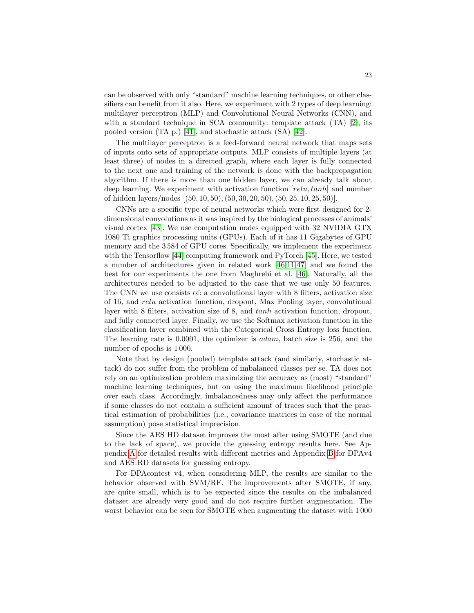can be observed with only "standard" machine learning techniques, or other classifiers can benefit from it also. Here, we experiment with 2 types of deep learning: multilayer perceptron (MLP) and Convolutional Neural Networks (CNN), and with a standard technique in SCA community: template attack (TA) [\[2\]](#page-25-1), its pooled version (TA p.) [\[41\]](#page-28-4), and stochastic attack (SA) [\[42\]](#page-28-5).

The multilayer perceptron is a feed-forward neural network that maps sets of inputs onto sets of appropriate outputs. MLP consists of multiple layers (at least three) of nodes in a directed graph, where each layer is fully connected to the next one and training of the network is done with the backpropagation algorithm. If there is more than one hidden layer, we can already talk about deep learning. We experiment with activation function  $[relu, tanh]$  and number of hidden layers/nodes [(50, 10, 50),(50, 30, 20, 50),(50, 25, 10, 25, 50)].

CNNs are a specific type of neural networks which were first designed for 2 dimensional convolutions as it was inspired by the biological processes of animals' visual cortex [\[43\]](#page-28-6). We use computation nodes equipped with 32 NVIDIA GTX 1080 Ti graphics processing units (GPUs). Each of it has 11 Gigabytes of GPU memory and the 3 584 of GPU cores. Specifically, we implement the experiment with the Tensorflow [\[44\]](#page-28-7) computing framework and PyTorch [\[45\]](#page-28-8). Here, we tested a number of architectures given in related work [\[46,](#page-28-9)[11,](#page-26-7)[47\]](#page-28-10) and we found the best for our experiments the one from Maghrebi et al. [\[46\]](#page-28-9). Naturally, all the architectures needed to be adjusted to the case that we use only 50 features. The CNN we use consists of: a convolutional layer with 8 filters, activation size of 16, and relu activation function, dropout, Max Pooling layer, convolutional layer with 8 filters, activation size of 8, and tanh activation function, dropout, and fully connected layer. Finally, we use the Softmax activation function in the classification layer combined with the Categorical Cross Entropy loss function. The learning rate is 0.0001, the optimizer is adam, batch size is 256, and the number of epochs is 1 000.

Note that by design (pooled) template attack (and similarly, stochastic attack) do not suffer from the problem of imbalanced classes per se. TA does not rely on an optimization problem maximizing the accuracy as (most) "standard" machine learning techniques, but on using the maximum likelihood principle over each class. Accordingly, imbalancedness may only affect the performance if some classes do not contain a sufficient amount of traces such that the practical estimation of probabilities (i.e., covariance matrices in case of the normal assumption) pose statistical imprecision.

Since the AES HD dataset improves the most after using SMOTE (and due to the lack of space), we provide the guessing entropy results here. See Appendix [A](#page-28-3) for detailed results with different metrics and Appendix [B](#page-32-0) for DPAv4 and AES RD datasets for guessing entropy.

For DPAcontest v4, when considering MLP, the results are similar to the behavior observed with SVM/RF. The improvements after SMOTE, if any, are quite small, which is to be expected since the results on the imbalanced dataset are already very good and do not require further augmentation. The worst behavior can be seen for SMOTE when augmenting the dataset with 1 000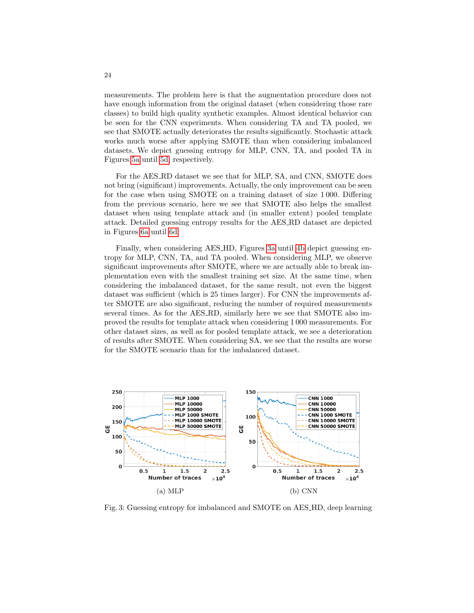measurements. The problem here is that the augmentation procedure does not have enough information from the original dataset (when considering those rare classes) to build high quality synthetic examples. Almost identical behavior can be seen for the CNN experiments. When considering TA and TA pooled, we see that SMOTE actually deteriorates the results significantly. Stochastic attack works much worse after applying SMOTE than when considering imbalanced datasets. We depict guessing entropy for MLP, CNN, TA, and pooled TA in Figures [5a](#page-32-1) until [5d,](#page-32-1) respectively.

For the AES RD dataset we see that for MLP, SA, and CNN, SMOTE does not bring (significant) improvements. Actually, the only improvement can be seen for the case when using SMOTE on a training dataset of size 1 000. Differing from the previous scenario, here we see that SMOTE also helps the smallest dataset when using template attack and (in smaller extent) pooled template attack. Detailed guessing entropy results for the AES RD dataset are depicted in Figures [6a](#page-33-0) until [6d.](#page-33-0)

Finally, when considering AES HD, Figures [3a](#page-23-0) until [4b](#page-25-3) depict guessing entropy for MLP, CNN, TA, and TA pooled. When considering MLP, we observe significant improvements after SMOTE, where we are actually able to break implementation even with the smallest training set size. At the same time, when considering the imbalanced dataset, for the same result, not even the biggest dataset was sufficient (which is 25 times larger). For CNN the improvements after SMOTE are also significant, reducing the number of required measurements several times. As for the AES RD, similarly here we see that SMOTE also improved the results for template attack when considering 1 000 measurements. For other dataset sizes, as well as for pooled template attack, we see a deterioration of results after SMOTE. When considering SA, we see that the results are worse for the SMOTE scenario than for the imbalanced dataset.

<span id="page-23-0"></span>

Fig. 3: Guessing entropy for imbalanced and SMOTE on AES HD, deep learning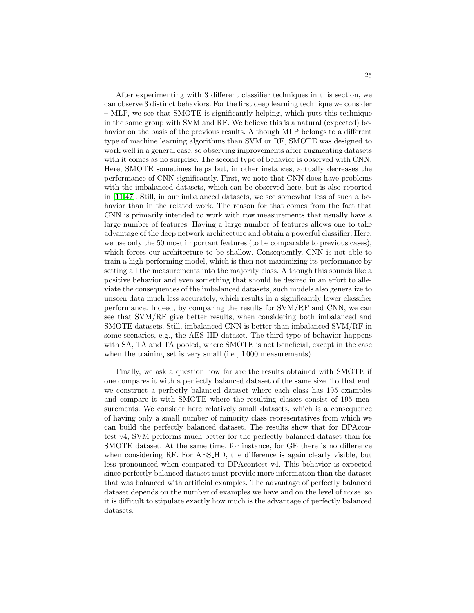After experimenting with 3 different classifier techniques in this section, we can observe 3 distinct behaviors. For the first deep learning technique we consider – MLP, we see that SMOTE is significantly helping, which puts this technique in the same group with SVM and RF. We believe this is a natural (expected) behavior on the basis of the previous results. Although MLP belongs to a different type of machine learning algorithms than SVM or RF, SMOTE was designed to work well in a general case, so observing improvements after augmenting datasets with it comes as no surprise. The second type of behavior is observed with CNN. Here, SMOTE sometimes helps but, in other instances, actually decreases the performance of CNN significantly. First, we note that CNN does have problems with the imbalanced datasets, which can be observed here, but is also reported in [\[11](#page-26-7)[,47\]](#page-28-10). Still, in our imbalanced datasets, we see somewhat less of such a behavior than in the related work. The reason for that comes from the fact that CNN is primarily intended to work with row measurements that usually have a large number of features. Having a large number of features allows one to take advantage of the deep network architecture and obtain a powerful classifier. Here, we use only the 50 most important features (to be comparable to previous cases), which forces our architecture to be shallow. Consequently, CNN is not able to train a high-performing model, which is then not maximizing its performance by setting all the measurements into the majority class. Although this sounds like a positive behavior and even something that should be desired in an effort to alleviate the consequences of the imbalanced datasets, such models also generalize to unseen data much less accurately, which results in a significantly lower classifier performance. Indeed, by comparing the results for SVM/RF and CNN, we can see that SVM/RF give better results, when considering both imbalanced and SMOTE datasets. Still, imbalanced CNN is better than imbalanced SVM/RF in some scenarios, e.g., the AES HD dataset. The third type of behavior happens with SA, TA and TA pooled, where SMOTE is not beneficial, except in the case when the training set is very small (i.e., 1 000 measurements).

Finally, we ask a question how far are the results obtained with SMOTE if one compares it with a perfectly balanced dataset of the same size. To that end, we construct a perfectly balanced dataset where each class has 195 examples and compare it with SMOTE where the resulting classes consist of 195 measurements. We consider here relatively small datasets, which is a consequence of having only a small number of minority class representatives from which we can build the perfectly balanced dataset. The results show that for DPAcontest v4, SVM performs much better for the perfectly balanced dataset than for SMOTE dataset. At the same time, for instance, for GE there is no difference when considering RF. For AES HD, the difference is again clearly visible, but less pronounced when compared to DPAcontest v4. This behavior is expected since perfectly balanced dataset must provide more information than the dataset that was balanced with artificial examples. The advantage of perfectly balanced dataset depends on the number of examples we have and on the level of noise, so it is difficult to stipulate exactly how much is the advantage of perfectly balanced datasets.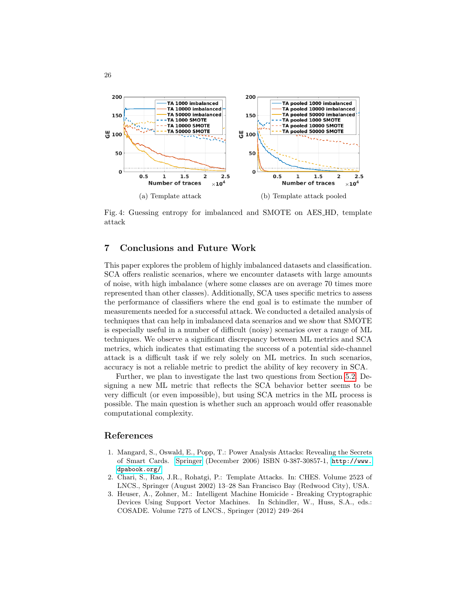<span id="page-25-3"></span>

Fig. 4: Guessing entropy for imbalanced and SMOTE on AES HD, template attack

# 7 Conclusions and Future Work

This paper explores the problem of highly imbalanced datasets and classification. SCA offers realistic scenarios, where we encounter datasets with large amounts of noise, with high imbalance (where some classes are on average 70 times more represented than other classes). Additionally, SCA uses specific metrics to assess the performance of classifiers where the end goal is to estimate the number of measurements needed for a successful attack. We conducted a detailed analysis of techniques that can help in imbalanced data scenarios and we show that SMOTE is especially useful in a number of difficult (noisy) scenarios over a range of ML techniques. We observe a significant discrepancy between ML metrics and SCA metrics, which indicates that estimating the success of a potential side-channel attack is a difficult task if we rely solely on ML metrics. In such scenarios, accuracy is not a reliable metric to predict the ability of key recovery in SCA.

Further, we plan to investigate the last two questions from Section [5.2.](#page-19-0) Designing a new ML metric that reflects the SCA behavior better seems to be very difficult (or even impossible), but using SCA metrics in the ML process is possible. The main question is whether such an approach would offer reasonable computational complexity.

## References

26

- <span id="page-25-0"></span>1. Mangard, S., Oswald, E., Popp, T.: Power Analysis Attacks: Revealing the Secrets of Smart Cards. [Springer](http://www.springer.com/) (December 2006) ISBN 0-387-30857-1, [http://www.](http://www.dpabook.org/) [dpabook.org/](http://www.dpabook.org/).
- <span id="page-25-1"></span>2. Chari, S., Rao, J.R., Rohatgi, P.: Template Attacks. In: CHES. Volume 2523 of LNCS., Springer (August 2002) 13–28 San Francisco Bay (Redwood City), USA.
- <span id="page-25-2"></span>3. Heuser, A., Zohner, M.: Intelligent Machine Homicide - Breaking Cryptographic Devices Using Support Vector Machines. In Schindler, W., Huss, S.A., eds.: COSADE. Volume 7275 of LNCS., Springer (2012) 249–264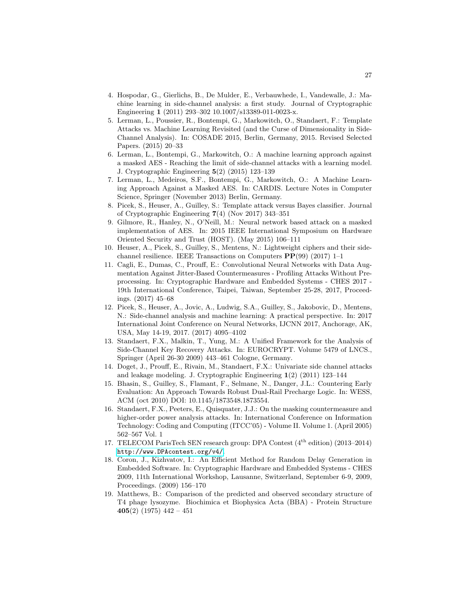- <span id="page-26-0"></span>4. Hospodar, G., Gierlichs, B., De Mulder, E., Verbauwhede, I., Vandewalle, J.: Machine learning in side-channel analysis: a first study. Journal of Cryptographic Engineering 1 (2011) 293–302 10.1007/s13389-011-0023-x.
- <span id="page-26-1"></span>5. Lerman, L., Poussier, R., Bontempi, G., Markowitch, O., Standaert, F.: Template Attacks vs. Machine Learning Revisited (and the Curse of Dimensionality in Side-Channel Analysis). In: COSADE 2015, Berlin, Germany, 2015. Revised Selected Papers. (2015) 20–33
- <span id="page-26-2"></span>6. Lerman, L., Bontempi, G., Markowitch, O.: A machine learning approach against a masked AES - Reaching the limit of side-channel attacks with a learning model. J. Cryptographic Engineering 5(2) (2015) 123–139
- <span id="page-26-3"></span>7. Lerman, L., Medeiros, S.F., Bontempi, G., Markowitch, O.: A Machine Learning Approach Against a Masked AES. In: CARDIS. Lecture Notes in Computer Science, Springer (November 2013) Berlin, Germany.
- <span id="page-26-4"></span>8. Picek, S., Heuser, A., Guilley, S.: Template attack versus Bayes classifier. Journal of Cryptographic Engineering 7(4) (Nov 2017) 343–351
- <span id="page-26-5"></span>9. Gilmore, R., Hanley, N., O'Neill, M.: Neural network based attack on a masked implementation of AES. In: 2015 IEEE International Symposium on Hardware Oriented Security and Trust (HOST). (May 2015) 106–111
- <span id="page-26-6"></span>10. Heuser, A., Picek, S., Guilley, S., Mentens, N.: Lightweight ciphers and their sidechannel resilience. IEEE Transactions on Computers  $\mathbf{PP}(99)$  (2017) 1–1
- <span id="page-26-7"></span>11. Cagli, E., Dumas, C., Prouff, E.: Convolutional Neural Networks with Data Augmentation Against Jitter-Based Countermeasures - Profiling Attacks Without Preprocessing. In: Cryptographic Hardware and Embedded Systems - CHES 2017 - 19th International Conference, Taipei, Taiwan, September 25-28, 2017, Proceedings. (2017) 45–68
- <span id="page-26-8"></span>12. Picek, S., Heuser, A., Jovic, A., Ludwig, S.A., Guilley, S., Jakobovic, D., Mentens, N.: Side-channel analysis and machine learning: A practical perspective. In: 2017 International Joint Conference on Neural Networks, IJCNN 2017, Anchorage, AK, USA, May 14-19, 2017. (2017) 4095–4102
- <span id="page-26-9"></span>13. Standaert, F.X., Malkin, T., Yung, M.: A Unified Framework for the Analysis of Side-Channel Key Recovery Attacks. In: EUROCRYPT. Volume 5479 of LNCS., Springer (April 26-30 2009) 443–461 Cologne, Germany.
- <span id="page-26-10"></span>14. Doget, J., Prouff, E., Rivain, M., Standaert, F.X.: Univariate side channel attacks and leakage modeling. J. Cryptographic Engineering 1(2) (2011) 123–144
- <span id="page-26-11"></span>15. Bhasin, S., Guilley, S., Flamant, F., Selmane, N., Danger, J.L.: Countering Early Evaluation: An Approach Towards Robust Dual-Rail Precharge Logic. In: WESS, ACM (oct 2010) DOI: 10.1145/1873548.1873554.
- <span id="page-26-12"></span>16. Standaert, F.X., Peeters, E., Quisquater, J.J.: On the masking countermeasure and higher-order power analysis attacks. In: International Conference on Information Technology: Coding and Computing (ITCC'05) - Volume II. Volume 1. (April 2005) 562–567 Vol. 1
- <span id="page-26-13"></span>17. TELECOM ParisTech SEN research group: DPA Contest (4th edition) (2013–2014) <http://www.DPAcontest.org/v4/>.
- <span id="page-26-14"></span>18. Coron, J., Kizhvatov, I.: An Efficient Method for Random Delay Generation in Embedded Software. In: Cryptographic Hardware and Embedded Systems - CHES 2009, 11th International Workshop, Lausanne, Switzerland, September 6-9, 2009, Proceedings. (2009) 156–170
- <span id="page-26-15"></span>19. Matthews, B.: Comparison of the predicted and observed secondary structure of T4 phage lysozyme. Biochimica et Biophysica Acta (BBA) - Protein Structure 405(2) (1975)  $442 - 451$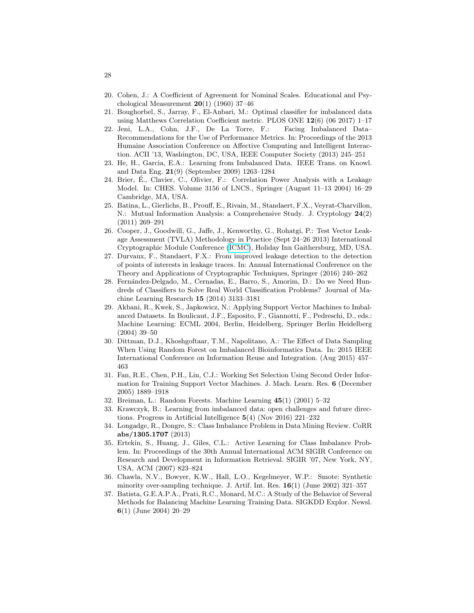- <span id="page-27-0"></span>20. Cohen, J.: A Coefficient of Agreement for Nominal Scales. Educational and Psychological Measurement 20(1) (1960) 37–46
- <span id="page-27-1"></span>21. Boughorbel, S., Jarray, F., El-Anbari, M.: Optimal classifier for imbalanced data using Matthews Correlation Coefficient metric. PLOS ONE  $12(6)$  (06 2017) 1–17
- <span id="page-27-2"></span>22. Jeni, L.A., Cohn, J.F., De La Torre, F.: Facing Imbalanced Data– Recommendations for the Use of Performance Metrics. In: Proceedings of the 2013 Humaine Association Conference on Affective Computing and Intelligent Interaction. ACII '13, Washington, DC, USA, IEEE Computer Society (2013) 245–251
- <span id="page-27-3"></span>23. He, H., Garcia, E.A.: Learning from Imbalanced Data. IEEE Trans. on Knowl. and Data Eng. 21(9) (September 2009) 1263–1284
- <span id="page-27-4"></span>24. Brier, E., Clavier, C., Olivier, F.: Correlation Power Analysis with a Leakage ´ Model. In: CHES. Volume 3156 of LNCS., Springer (August 11–13 2004) 16–29 Cambridge, MA, USA.
- <span id="page-27-5"></span>25. Batina, L., Gierlichs, B., Prouff, E., Rivain, M., Standaert, F.X., Veyrat-Charvillon, N.: Mutual Information Analysis: a Comprehensive Study. J. Cryptology 24(2) (2011) 269–291
- <span id="page-27-6"></span>26. Cooper, J., Goodwill, G., Jaffe, J., Kenworthy, G., Rohatgi, P.: Test Vector Leakage Assessment (TVLA) Methodology in Practice (Sept 24–26 2013) International Cryptographic Module Conference [\(ICMC\)](http://icmc-2013.org/wp/), Holiday Inn Gaithersburg, MD, USA.
- <span id="page-27-7"></span>27. Durvaux, F., Standaert, F.X.: From improved leakage detection to the detection of points of interests in leakage traces. In: Annual International Conference on the Theory and Applications of Cryptographic Techniques, Springer (2016) 240–262
- <span id="page-27-8"></span>28. Fernández-Delgado, M., Cernadas, E., Barro, S., Amorim, D.: Do we Need Hundreds of Classifiers to Solve Real World Classification Problems? Journal of Machine Learning Research 15 (2014) 3133–3181
- <span id="page-27-9"></span>29. Akbani, R., Kwek, S., Japkowicz, N.: Applying Support Vector Machines to Imbalanced Datasets. In Boulicaut, J.F., Esposito, F., Giannotti, F., Pedreschi, D., eds.: Machine Learning: ECML 2004, Berlin, Heidelberg, Springer Berlin Heidelberg (2004) 39–50
- <span id="page-27-10"></span>30. Dittman, D.J., Khoshgoftaar, T.M., Napolitano, A.: The Effect of Data Sampling When Using Random Forest on Imbalanced Bioinformatics Data. In: 2015 IEEE International Conference on Information Reuse and Integration. (Aug 2015) 457– 463
- <span id="page-27-11"></span>31. Fan, R.E., Chen, P.H., Lin, C.J.: Working Set Selection Using Second Order Information for Training Support Vector Machines. J. Mach. Learn. Res. 6 (December 2005) 1889–1918
- <span id="page-27-12"></span>32. Breiman, L.: Random Forests. Machine Learning 45(1) (2001) 5–32
- <span id="page-27-13"></span>33. Krawczyk, B.: Learning from imbalanced data: open challenges and future directions. Progress in Artificial Intelligence 5(4) (Nov 2016) 221–232
- <span id="page-27-14"></span>34. Longadge, R., Dongre, S.: Class Imbalance Problem in Data Mining Review. CoRR abs/1305.1707 (2013)
- <span id="page-27-15"></span>35. Ertekin, S., Huang, J., Giles, C.L.: Active Learning for Class Imbalance Problem. In: Proceedings of the 30th Annual International ACM SIGIR Conference on Research and Development in Information Retrieval. SIGIR '07, New York, NY, USA, ACM (2007) 823–824
- <span id="page-27-16"></span>36. Chawla, N.V., Bowyer, K.W., Hall, L.O., Kegelmeyer, W.P.: Smote: Synthetic minority over-sampling technique. J. Artif. Int. Res.  $16(1)$  (June 2002) 321-357
- <span id="page-27-17"></span>37. Batista, G.E.A.P.A., Prati, R.C., Monard, M.C.: A Study of the Behavior of Several Methods for Balancing Machine Learning Training Data. SIGKDD Explor. Newsl. 6(1) (June 2004) 20–29

28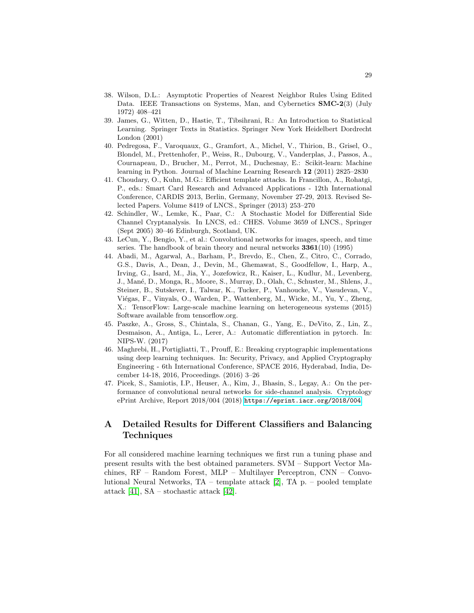- <span id="page-28-0"></span>38. Wilson, D.L.: Asymptotic Properties of Nearest Neighbor Rules Using Edited Data. IEEE Transactions on Systems, Man, and Cybernetics SMC-2(3) (July 1972) 408–421
- <span id="page-28-1"></span>39. James, G., Witten, D., Hastie, T., Tibsihrani, R.: An Introduction to Statistical Learning. Springer Texts in Statistics. Springer New York Heidelbert Dordrecht London (2001)
- <span id="page-28-2"></span>40. Pedregosa, F., Varoquaux, G., Gramfort, A., Michel, V., Thirion, B., Grisel, O., Blondel, M., Prettenhofer, P., Weiss, R., Dubourg, V., Vanderplas, J., Passos, A., Cournapeau, D., Brucher, M., Perrot, M., Duchesnay, E.: Scikit-learn: Machine learning in Python. Journal of Machine Learning Research 12 (2011) 2825–2830
- <span id="page-28-4"></span>41. Choudary, O., Kuhn, M.G.: Efficient template attacks. In Francillon, A., Rohatgi, P., eds.: Smart Card Research and Advanced Applications - 12th International Conference, CARDIS 2013, Berlin, Germany, November 27-29, 2013. Revised Selected Papers. Volume 8419 of LNCS., Springer (2013) 253–270
- <span id="page-28-5"></span>42. Schindler, W., Lemke, K., Paar, C.: A Stochastic Model for Differential Side Channel Cryptanalysis. In LNCS, ed.: CHES. Volume 3659 of LNCS., Springer (Sept 2005) 30–46 Edinburgh, Scotland, UK.
- <span id="page-28-6"></span>43. LeCun, Y., Bengio, Y., et al.: Convolutional networks for images, speech, and time series. The handbook of brain theory and neural networks 3361(10) (1995)
- <span id="page-28-7"></span>44. Abadi, M., Agarwal, A., Barham, P., Brevdo, E., Chen, Z., Citro, C., Corrado, G.S., Davis, A., Dean, J., Devin, M., Ghemawat, S., Goodfellow, I., Harp, A., Irving, G., Isard, M., Jia, Y., Jozefowicz, R., Kaiser, L., Kudlur, M., Levenberg, J., Man´e, D., Monga, R., Moore, S., Murray, D., Olah, C., Schuster, M., Shlens, J., Steiner, B., Sutskever, I., Talwar, K., Tucker, P., Vanhoucke, V., Vasudevan, V., Viégas, F., Vinyals, O., Warden, P., Wattenberg, M., Wicke, M., Yu, Y., Zheng, X.: TensorFlow: Large-scale machine learning on heterogeneous systems (2015) Software available from tensorflow.org.
- <span id="page-28-8"></span>45. Paszke, A., Gross, S., Chintala, S., Chanan, G., Yang, E., DeVito, Z., Lin, Z., Desmaison, A., Antiga, L., Lerer, A.: Automatic differentiation in pytorch. In: NIPS-W. (2017)
- <span id="page-28-9"></span>46. Maghrebi, H., Portigliatti, T., Prouff, E.: Breaking cryptographic implementations using deep learning techniques. In: Security, Privacy, and Applied Cryptography Engineering - 6th International Conference, SPACE 2016, Hyderabad, India, December 14-18, 2016, Proceedings. (2016) 3–26
- <span id="page-28-10"></span>47. Picek, S., Samiotis, I.P., Heuser, A., Kim, J., Bhasin, S., Legay, A.: On the performance of convolutional neural networks for side-channel analysis. Cryptology ePrint Archive, Report 2018/004 (2018) <https://eprint.iacr.org/2018/004>.

# <span id="page-28-3"></span>A Detailed Results for Different Classifiers and Balancing **Techniques**

For all considered machine learning techniques we first run a tuning phase and present results with the best obtained parameters. SVM – Support Vector Machines, RF – Random Forest, MLP – Multilayer Perceptron, CNN – Convolutional Neural Networks, TA – template attack [\[2\]](#page-25-1), TA p. – pooled template attack [\[41\]](#page-28-4), SA – stochastic attack [\[42\]](#page-28-5).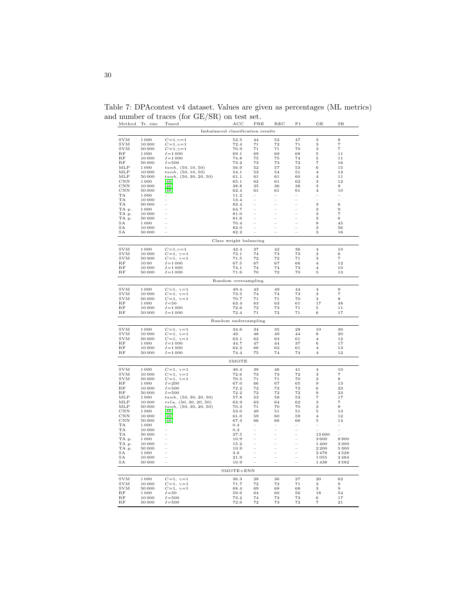| Method                    | Tr. size       | Tuned                                        | ACC                    | PRE          | $_{\rm REC}$             | F1                       | GE                               | $_{\rm SR}$             |
|---------------------------|----------------|----------------------------------------------|------------------------|--------------|--------------------------|--------------------------|----------------------------------|-------------------------|
|                           |                | Imbalanced classification results            |                        |              |                          |                          |                                  |                         |
| <b>SVM</b>                | 1000           | $C = 1, \gamma = 1$                          | 52.5                   | 44           | 52                       | 47                       | 3                                | 8                       |
| <b>SVM</b>                | 10000          | $C=1,\gamma=1$                               | 72.4                   | 71           | 72                       | $7\sqrt{1}$              | 3                                | $\scriptstyle{7}$       |
| <b>SVM</b><br>RF          | 50000<br>1000  | $C = 1, \gamma = 1$<br>$I = 1000$            | 70.9<br>69.1           | $7\,1$<br>69 | 71<br>69                 | 70<br>68                 | 3<br>5                           | $\overline{\tau}$<br>11 |
| RF                        | 10000          | $I = 1000$                                   | 74.8                   | 75           | 75                       | 74                       | $\overline{5}$                   | 11                      |
| $_{RF}$                   | 50000          | $I = 500$                                    | 73.2                   | 73           | 73                       | 72                       | $\overline{\tau}$                | 16                      |
| MLP                       | 1000           | tanh, (50, 10, 50)                           | 56.9                   | 52           | 57                       | 53                       | $\,$ 6                           | 15                      |
| MLP<br>MLP                | 10000<br>50000 | tanh, (50, 10, 50)<br>tanh, (50, 30, 20, 50) | 54.1<br>61.1           | 53<br>61     | 54<br>61                 | $5\,1$<br>60             | $\overline{4}$<br>$\overline{4}$ | 12<br>11                |
| CNN                       | 1000           | $[46]$                                       | 65.1                   | 62           | 61                       | 62                       | 3                                | 12                      |
| CNN                       | 10000          | [46]                                         | 38.8                   | 35           | 36                       | 38                       | 3                                | 9                       |
| CNN                       | 50000          | [46]                                         | 62.4                   | 61           | 61                       | 61                       | $\overline{\mathbf{4}}$          | 10                      |
| TA<br>TA                  | 1000<br>10000  |                                              | 11.2<br>13.4           |              | ÷                        | $\equiv$                 | i.                               | L.                      |
| TA                        | 50000          |                                              | 82.4                   |              |                          |                          | 3                                | $\,$ 6 $\,$             |
| TA p.                     | 1000           |                                              | 64.7                   |              | $\overline{a}$           | $\overline{\phantom{0}}$ | 3                                | 9                       |
| TA p.                     | 10000          |                                              | 81.0                   |              | $\overline{a}$           | $\overline{\phantom{0}}$ | 3                                | $\overline{\tau}$       |
| TA p.<br>SA               | 50000<br>1000  |                                              | 81.6<br>70.4           |              | $\overline{a}$<br>÷      | -<br>÷                   | 3<br>$\bf8$                      | 6<br>45                 |
| SA                        | 10000          |                                              | 82.0                   |              |                          |                          | 3                                | 56                      |
| SA                        | 50000          |                                              | 82.2                   |              |                          |                          | 3                                | 16                      |
|                           |                |                                              | Class weight balancing |              |                          |                          |                                  |                         |
| <b>SVM</b>                | 1000           | $C = 1, \gamma = 1$                          | 42.4                   | 37           | 42                       | 36                       | $\bf{4}$                         | $10$                    |
| <b>SVM</b>                | 10000          | $C\!=\!1,~\gamma\!=\!1$                      | 73.1                   | 74           | 73                       | 73                       | 3                                | 6                       |
| <b>SVM</b>                | 50000          | $C=1, \gamma=1$                              | 71.5                   | 72           | 72                       | 71                       | 3                                | $\scriptstyle{7}$       |
| $_{RF}$                   | 1000           | $I = 1000$                                   | 67.5                   | 67           | 67                       | 66                       | $\overline{4}$                   | 12                      |
| RF<br>$_{RF}$             | 10000<br>50000 | $I = 1000$<br>$I = 1000$                     | 74.1<br>71.6           | 74<br>70     | 74<br>72                 | 73<br>70                 | $\overline{\mathbf{4}}$<br>5     | 10<br>13                |
|                           |                |                                              | Random oversampling    |              |                          |                          |                                  |                         |
| <b>SVM</b>                | 1000           |                                              | 49.4                   | 43           | 49                       | 44                       | $\overline{\mathbf{4}}$          | 9                       |
| <b>SVM</b>                | 10000          | $C=1, \gamma=1$<br>$C=1, \gamma=1$           | 73.5                   | $\bf 74$     | 74                       | 73                       | 3                                | $\overline{7}$          |
| SVM                       | 50000          | $C\!=\!1,~\gamma\!=\!1$                      | 70.7                   | $7\,1$       | 71                       | 70                       | 3                                | 8                       |
| RF                        | 1000           | $I = 50$                                     | 63.4                   | 63           | 63                       | 61                       | 17                               | 48                      |
| <b>B.F</b><br>$_{\rm RF}$ | 10000<br>50000 | $I = 1000$<br>$I = 1000$                     | 72.6<br>72.4           | 72<br>71     | 73<br>72                 | 71<br>71                 | 5<br>6                           | 11<br>17                |
|                           |                |                                              |                        |              |                          |                          |                                  |                         |
|                           |                |                                              | Random undersampling   |              |                          |                          |                                  |                         |
| <b>SVM</b>                | 1000           | $C=1, \gamma=1$                              | 34.6                   | 34           | 35                       | 28                       | 10                               | 30                      |
| <b>SVM</b><br><b>SVM</b>  | 10000<br>50000 | $C=1, \gamma=1$<br>$C=1, \gamma=1$           | 49<br>63.1             | 48<br>62     | 49<br>63                 | 44<br>61                 | 8<br>$\overline{4}$              | $\bf{^{20}}$<br>12      |
| $_{RF}$                   | 1000           | $I = 1000$                                   | 44.7                   | 47           | 44                       | 37                       | 6                                | 17                      |
| $_{RF}$                   | 10000          | $I = 1000$                                   | 62.2                   | 66           | 62                       | 61                       | $\overline{4}$                   | 13                      |
| $_{RF}$                   | 50000          | $I = 1000$                                   | 74.4                   | 75           | 74                       | 74                       | $\overline{4}$                   | 12                      |
|                           |                |                                              | SMOTE                  |              |                          |                          |                                  |                         |
| <b>SVM</b>                | 1000           | $C=1, \gamma=1$                              | 46.4                   | 39           | 46                       | 41                       | $\overline{\mathbf{4}}$          | $10\,$                  |
| <b>SVM</b>                | 10000          | $C=1, \gamma=1$                              | 72.6                   | 73           | 73                       | 72                       | 3                                | $\scriptstyle{7}$       |
| <b>SVM</b>                | 50000          | $C\!=\!1,~\gamma\!=\!1$                      | 70.5                   | $7\,1$       | 71                       | 70                       | 3                                | 8                       |
| $\mathbf{RF}$<br>$_{RF}$  | 1000<br>10000  | $I = 200$<br>$I = 500$                       | 67.0<br>72.2           | 66<br>72     | 67<br>72                 | 65<br>72                 | 9<br>6                           | 13<br>$^{\rm 23}$       |
| $_{RF}$                   | 50000          | $I = 500$                                    | 72.2                   | 72           | $\scriptstyle{72}$       | $\scriptstyle{72}$       | $\boldsymbol{9}$                 | 23                      |
| MLP                       | 1000           | tanh, (50, 30, 20, 50)                       | 57.8                   | 53           | 58                       | 53                       | $\scriptstyle{7}$                | 17                      |
| MLP<br>MLP                | 10000<br>50000 | relu, (50, 30, 20, 50)                       | 63.9<br>70.3           | 63<br>71     | 64<br>70                 | 62<br>70                 | 3<br>3                           | $\overline{\tau}$<br>8  |
| $_{\rm CNN}$              | 1000           | tanh, (50, 30, 20, 50)<br>$[46]$             | 53.0                   | 49           | 51                       | 51                       | $\overline{5}$                   | 13                      |
| <b>CNN</b>                | 10000          | [46]                                         | 61.0                   | 59           | 60                       | 59                       | $\overline{4}$                   | 12                      |
| <b>CNN</b>                | 50000          | $[46]$                                       | 67.3                   | 66           | 66                       | 66                       | 5                                | 14                      |
| TA<br>TA                  | 1000           |                                              | 0.4                    |              | ÷                        | ÷                        |                                  | ÷                       |
| TA                        | 10000<br>50000 |                                              | 0.3<br>27.5            |              |                          |                          | 13600                            |                         |
| TA p.                     | 1000           |                                              | 10.9                   |              | $\overline{\phantom{0}}$ | $\overline{\phantom{0}}$ | 3600                             | 8900                    |
| TA p.                     | 10000          |                                              | 15.2                   |              | $\overline{a}$           | i,                       | 1400                             | 3300                    |
| TA p.                     | 50000          | L                                            | 10.9                   |              |                          | L.                       | 2 2 0 0                          | 5300                    |
| SA<br>SA                  | 1000<br>10000  |                                              | 3.6<br>21.9            |              | ÷<br>$\overline{a}$      |                          | 2478<br>1055                     | 4528<br>2484            |
| SA                        | 50000          |                                              | 10.9                   |              | L.                       |                          | 1438                             | 3582                    |
|                           |                |                                              | $SMOTE+ENN$            |              |                          |                          |                                  |                         |
| <b>SVM</b>                | 1000           | $C=1, \gamma=1$                              | 36.3                   | 28           | 36                       | 27                       | 20                               | 62                      |
| <b>SVM</b>                | 10000          | $C=1, \gamma=1$                              | 71.7                   | 72           | 72                       | 71                       | 3                                | 9                       |
| <b>SVM</b>                | 50000          | $C\!=\!1,~\gamma\!=\!1$                      | 68.4                   | 69           | 68                       | 68                       | 3                                | 9                       |
| $_{RF}$<br>RF             | 1000<br>10000  | $I = 50$<br>$I = 500$                        | 59.6<br>73.2           | 64<br>74     | 60<br>73                 | 56<br>73                 | 18<br>6                          | 54<br>17                |
| RF                        | 50000          | $I = 500$                                    | 72.6                   | 72           | 73                       | $\scriptstyle{72}$       | $\scriptstyle{7}$                | 21                      |

<span id="page-29-0"></span>Table 7: DPAcontest v4 dataset. Values are given as percentages (ML metrics) and number of traces (for GE/SR) on test set.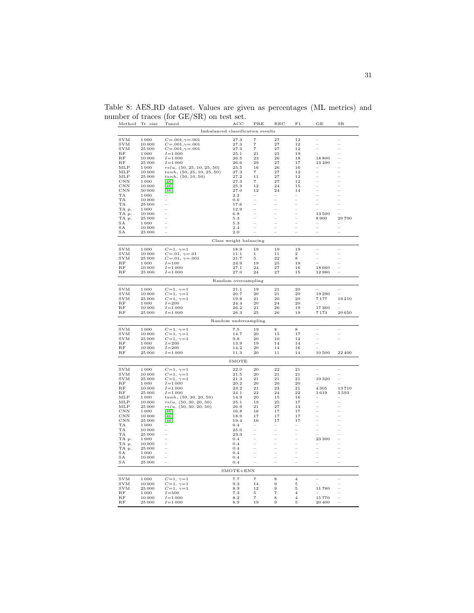| Method                   | Tr. size        | $\prime$<br>٠,<br>Tuned                                      | $_{\mathrm{ACC}}$      | PRE                                    | $_{\rm REC}$             | F1                         | GE                  | $_{\rm SR}$    |
|--------------------------|-----------------|--------------------------------------------------------------|------------------------|----------------------------------------|--------------------------|----------------------------|---------------------|----------------|
|                          |                 | Imbalanced classification results                            |                        |                                        |                          |                            |                     |                |
| <b>SVM</b>               | 1000            | $C = .001, \gamma = .001$                                    | 27.3                   | 7                                      | 27                       | 12                         |                     |                |
| <b>SVM</b><br><b>SVM</b> | 10000<br>25 000 | $C = .001, \gamma = .001$                                    | 27.3<br>27.3           | $\scriptstyle{7}$<br>$\scriptstyle{7}$ | 27<br>27                 | 12<br>12                   | ÷<br>$\overline{a}$ | L,             |
| RF                       | 1000            | $C = .001, \gamma = .001$<br>$I = 1000$                      | 25.1                   | 21                                     | 25                       | 19                         |                     |                |
| RF                       | 10000           | $I = 1000$                                                   | 26.5                   | 23                                     | 26                       | 18                         | 18800               | -              |
| RF                       | 25 000          | $I = 1000$                                                   | 26.6                   | 29                                     | $^{27}$                  | 17                         | 13490               | $\overline{a}$ |
| MLP<br>MLP               | 1000<br>10000   | $relu,\: (50, 25, 10, 25, 50)$<br>tanh, (50, 25, 10, 25, 50) | 25.5<br>27.3           | $1\,6$<br>$\scriptstyle{7}$            | 26<br>27                 | 16<br>12                   | ÷<br>L              |                |
| MLP                      | 25 000          | tanh, (50, 10, 50)                                           | 27.2                   | 11                                     | 27                       | 12                         | L                   |                |
| CNN                      | 1 000           | [46]                                                         | 27.3                   | $\overline{7}$                         | 27                       | $1\,2$                     | ÷                   |                |
| $_{\rm CNN}$<br>CNN      | 10000<br>50000  | 46<br>$[46]$                                                 | 25.3<br>27.0           | 12<br>12                               | 24<br>24                 | 15<br>14                   | 1                   | $\frac{1}{1}$  |
| TA                       | 1000            |                                                              | 2.2                    |                                        |                          |                            | $\overline{a}$      |                |
| TA<br>TA                 | 10000<br>25 000 |                                                              | 0.6<br>17.6            |                                        | L,                       | L,                         | ÷                   |                |
| TA p.                    | 1000            |                                                              | 12.9                   |                                        | $\overline{\phantom{0}}$ | L,                         |                     |                |
| TA p.                    | 10000           |                                                              | 6.8                    |                                        | $\overline{a}$           | 1                          | 13500               |                |
| TA p.                    | 25 000<br>1000  |                                                              | 5.3                    |                                        | i,<br>L                  |                            | 8900                | 20700          |
| SA<br>SA                 | 10000           |                                                              | 5.3<br>2.4             |                                        |                          |                            | $\overline{a}$      | $\overline{a}$ |
| SA                       | 25 000          |                                                              | 2.0                    |                                        |                          |                            | ÷                   | L              |
|                          |                 |                                                              | Class weight balancing |                                        |                          |                            |                     |                |
| <b>SVM</b>               | 1000            | $C=1, \gamma=1$                                              | 18.9                   | 19                                     | 19                       | 19                         |                     |                |
| <b>SVM</b>               | 10000           | $C = .01, \ \gamma = .01$                                    | 11.1                   | $\mathbf{1}$                           | 11                       | $\,2$                      | -                   | ÷              |
| <b>SVM</b><br>RF         | 25 000<br>1000  | $C = .01, \ \gamma = .001$<br>$I = 100$                      | 21.7<br>24.9           | 5<br>19                                | 22<br>$\bf 25$           | 8<br>19                    |                     |                |
| RF                       | 10000           | $I = 1000$                                                   | 27.1                   | 24                                     | 27                       | $1\,6$                     | 18660               |                |
| RF                       | 25 000          | $I = 1000$                                                   | 27.0                   | 24                                     | 27                       | 15                         | 12980               |                |
|                          |                 |                                                              | Random oversampling    |                                        |                          |                            |                     |                |
| <b>SVM</b>               | 1000            | $C\!=\!1,~\gamma\!=\!1$                                      | 21.1                   | 19                                     | $^{21}$                  | $\bf{^{20}}$               |                     |                |
| <b>SVM</b>               | 10000           | $C=1, \gamma=1$                                              | 20.7                   | 20                                     | $\bf{21}$                | $_{\rm 20}$                | 19290               |                |
| <b>SVM</b><br>RF         | 25 000<br>1000  | $C\!=\!1,~\gamma\!=\!1$<br>$I = 200$                         | 19.8<br>24.4           | 21<br>20                               | 20<br>24                 | 20<br>20                   | 7177                | 19210          |
| <b>B.F</b>               | 10000           | $I = 1000$                                                   | 26.2                   | 21                                     | 26                       | 19                         | 17360               |                |
| RF                       | 25 000          | $I = 1000$                                                   | 26.3                   | 25                                     | 26                       | 19                         | 7173                | 20650          |
|                          |                 |                                                              | Random undersampling   |                                        |                          |                            |                     |                |
| <b>SVM</b>               | 1000            | $C\!=\!1,~\gamma\!=\!1$                                      | 7.5                    | 19                                     | 8                        | 8                          |                     |                |
| <b>SVM</b><br><b>SVM</b> | 10000<br>25 000 | $C=1, \gamma=1$                                              | 14.7<br>9.8            | 20<br>20                               | 15<br>10                 | 17<br>12                   | ÷                   | L              |
| RF                       | 1000            | $C\!=\!1,~\gamma\!=\!1$<br>$I = 200$                         | 13.9                   | 19                                     | 14                       | 14                         |                     |                |
| RF                       | 10000           | $I = 200$                                                    | 14.2                   | 20                                     | 14                       | 16                         |                     |                |
| RF                       | 25 000          | $I = 1000$                                                   | 11.3                   | 20                                     | 11                       | 14                         | 10500               | 22400          |
|                          |                 |                                                              | SMOTE                  |                                        |                          |                            |                     |                |
| <b>SVM</b>               | 1000            | $C=1, \gamma=1$                                              | 22.0                   | 20                                     | 22                       | $\sqrt{21}$                |                     |                |
| <b>SVM</b><br><b>SVM</b> | 10000<br>25 000 | $C=1, \gamma=1$<br>$C=1, \gamma=1$                           | 21.5<br>21.3           | 20<br>21                               | 21<br>21                 | $\sqrt{21}$<br>$2\sqrt{1}$ | 10320               | L              |
| $\mathbf{RF}$            | 1000            | $I = 1000$                                                   | 20.2                   | $20\,$                                 | $\bf{20}$                | 20                         |                     |                |
| $_{RF}$                  | 10000           | $I = 1000$                                                   | 23.2                   | 21                                     | 23                       | 21                         | 4305                | 13710          |
| $_{RF}$<br>MLP           | 25 000<br>1000  | $I = 1000$<br>tanh, (50, 30, 20, 50)                         | 24.1<br>14.9           | $^{\rm 22}$<br>$_{\rm 20}$             | 24<br>$15\,$             | $\bf{^{22}}$<br>16         | 1619                | 5593           |
| MLP                      | 10000           | relu, (50, 30, 20, 50)                                       | 25.1                   | 19                                     | 25                       | 17                         |                     |                |
| MLP                      | 25 000          | relu, (50, 30, 20, 50)                                       | 26.9                   | 21                                     | 27                       | 13                         | L                   | -              |
| CNN<br>$_{\rm CNN}$      | 1000<br>10000   | [46]<br>$[46]$                                               | 16.8<br>18.9           | 16<br>17                               | 17<br>17                 | 17<br>17                   | ÷                   | $\overline{a}$ |
| CNN                      | 25 000          | $[46]$                                                       | 19.4                   | 16                                     | 17                       | 17                         | Ľ.                  |                |
| TA                       | 1000            |                                                              | 0.4                    |                                        |                          |                            | $\overline{a}$      |                |
| TA<br>TA                 | 10000<br>25 000 |                                                              | 25.0<br>23.3           | $\overline{a}$                         | L<br>i,                  | L                          | L.                  | $\overline{a}$ |
| TA p.                    | 1000            |                                                              | 0.4                    |                                        | ÷,                       |                            | 23 300              | -              |
| TA p.                    | 10000           |                                                              | 0.4                    |                                        | $\overline{a}$           | $\overline{a}$             | ÷                   | $\overline{a}$ |
| TA p.                    | 25 000          | L.                                                           | 0.4                    | L.                                     | ÷                        | ÷                          | L.                  | $\overline{a}$ |
| SΑ<br>SA                 | 1000<br>10000   |                                                              | 0.4<br>0.4             |                                        | $\overline{a}$           |                            | i.                  | $\overline{a}$ |
| SA                       | 25 000          |                                                              | 0.4                    |                                        | ÷                        |                            | L.                  |                |
|                          |                 |                                                              | $SMOTE+ENN$            |                                        |                          |                            |                     |                |
| <b>SVM</b>               | 1000            | $C=1, \gamma=1$                                              | 7.7                    | 7                                      | 8                        | $\overline{4}$             |                     |                |
| $_{\mathrm{SVM}}$        | 10000           | $C=1, \gamma=1$                                              | 9.3                    | 14                                     | 9                        | 5                          |                     |                |
| <b>SVM</b><br>$_{RF}$    | 25 000<br>1000  | $C\!=\!1,~\gamma\!=\!1$<br>$I = 500$                         | 8.9<br>7.3             | 12<br>5                                | 9<br>$\overline{7}$      | 5<br>$\overline{4}$        | 11780               |                |
| RF                       | 10000           | $I = 1000$                                                   | 8.2                    | $\overline{\phantom{a}}$               | 8                        | $\overline{4}$             | 15770               |                |
| RF                       | 25 000          | $I = 1000$                                                   | 8.9                    | 19                                     | 9                        | $\mathbf 5$                | 20 400              |                |

<span id="page-30-0"></span>Table 8: AES RD dataset. Values are given as percentages (ML metrics) and number of traces (for GE/SR) on test set.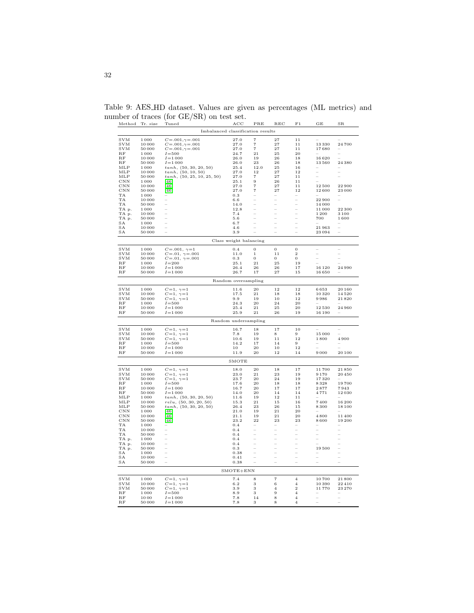| Method                     | Tr. size       | Tuned                                            | ACC                    | PRE            | $_{\rm REC}$                               | F <sub>1</sub>                             | GE                 | $_{\rm SR}$              |
|----------------------------|----------------|--------------------------------------------------|------------------------|----------------|--------------------------------------------|--------------------------------------------|--------------------|--------------------------|
|                            |                | Imbalanced classification results                |                        |                |                                            |                                            |                    |                          |
| <b>SVM</b>                 | 1000           | $C = .001, \gamma = .001$                        | 27.0                   | 7              | 27                                         | 11                                         |                    |                          |
| <b>SVM</b>                 | 10000          | $C = .001, \gamma = .001$                        | 27.0                   | $\overline{7}$ | 27                                         | 11                                         | 13330              | 24700                    |
| <b>SVM</b>                 | 50000          | $C = .001, \gamma = .001$                        | 27.0                   | $\overline{7}$ | 27                                         | 11                                         | 17680              |                          |
| $_{RF}$                    | 1000           | $I = 500$                                        | 24.7                   | 21             | 25<br>26                                   | 20<br>18                                   |                    | -                        |
| RF<br>$_{RF}$              | 10000<br>50000 | $I = 1000$<br>$I = 1000$                         | 26.0<br>26.0           | 19<br>23       | 26                                         | 18                                         | 16620<br>13560     | 24 380                   |
| MLP                        | 1000           | tanh, (50, 30, 20, 50)                           | 25.4                   | 12.0           | 25                                         | 16                                         |                    |                          |
| MLP                        | 10000          | tanh, (50, 10, 50)                               | 27.0                   | 12             | 27                                         | 12                                         | $\overline{a}$     |                          |
| MLP                        | 50000          | tanh, (50, 25, 10, 25, 50)                       | 27.0                   | $\overline{7}$ | 27                                         | 11                                         | i.                 |                          |
| $_{\rm CNN}$<br><b>CNN</b> | 1000           | [46]<br>[46]                                     | 25.1<br>27.0           | 9<br>7         | 26<br>27                                   | 11<br>11                                   |                    | 22900                    |
| $_{\rm CNN}$               | 10000<br>50000 | $[46]$                                           | 27.0                   | 7              | 27                                         | 12                                         | 12500<br>12600     | 23 000                   |
| TA                         | 1000           |                                                  | 0.3                    | L              | ÷                                          | L.                                         |                    |                          |
| TA                         | 10000          |                                                  | 6.6                    |                |                                            | $\overline{a}$                             | 22900              |                          |
| TA                         | 50000          | ÷                                                | 14.0                   |                | $\overline{\phantom{0}}$<br>$\overline{a}$ | $\overline{\phantom{0}}$<br>L,             | 14 000             |                          |
| TA p.<br>TA p.             | 1000<br>10000  |                                                  | 12.8<br>7.4            |                |                                            |                                            | 11000<br>1200      | 22 300<br>3100           |
| TA p.                      | 50000          | ÷                                                | 5.6                    |                | $\overline{a}$                             | $\overline{a}$                             | 700                | 1600                     |
| SA                         | 1000           | $\overline{a}$                                   | 6.7                    |                | $\overline{a}$                             | $\overline{a}$                             |                    |                          |
| SA                         | 10000          |                                                  | 4.6                    |                | i,                                         | ÷                                          | 21963              | ÷                        |
| SA                         | 50000          |                                                  | 3.9                    |                | Ľ.                                         | $\overline{a}$                             | 23094              | ÷                        |
|                            |                |                                                  | Class weight balancing |                |                                            |                                            |                    |                          |
| <b>SVM</b>                 | 1000           | $C\!=\!.001,\ \gamma\!=\!1$                      | 0.4                    | $\overline{0}$ | $\mathbf{O}$                               | $\bf{0}$                                   | ÷                  |                          |
| <b>SVM</b>                 | 10000          | $C = .01, \gamma = .001$                         | 11.0                   | $\,1$          | 11                                         | $\boldsymbol{2}$                           |                    |                          |
| <b>SVM</b>                 | 50000          | $C = .01, \ \gamma = .001$                       | 0.3                    | $\Omega$       | $\theta$                                   | $\boldsymbol{0}$                           | L.                 |                          |
| RF<br>RF                   | 1000<br>10000  | $I = 200$<br>$I = 1000$                          | 25.1<br>26.4           | 21<br>26       | 25<br>26                                   | 19<br>17                                   | 16 1 20            | 24990                    |
| RF                         | 50000          | $I = 1000$                                       | 26.7                   | 17             | 27                                         | 15                                         | 16650              |                          |
|                            |                |                                                  | Random oversampling    |                |                                            |                                            |                    |                          |
|                            |                |                                                  |                        |                |                                            |                                            |                    |                          |
| <b>SVM</b>                 | 1000           | $C=1, \gamma=1$                                  | 11.6                   | 20             | 12                                         | 12                                         | 6653               | 20160                    |
| <b>SVM</b><br><b>SVM</b>   | 10000<br>50000 | $C=1, \ \gamma=1$<br>$C=1, \ \gamma=1$           | 17.5<br>9.9            | 21<br>19       | 18<br>10                                   | 18<br>12                                   | 10320<br>9986      | 14520<br>21820           |
| RF                         | 1000           | $I = 500$                                        | 24.3                   | 20             | 24                                         | 20                                         |                    |                          |
| $_{RF}$                    | 10000          | $I = 1000$                                       | 25.4                   | 21             | 25                                         | 20                                         | 12530              | 24960                    |
| RF                         | 50000          | $I = 1000$                                       | 25.9                   | 21             | 26                                         | 19                                         | 16 190             |                          |
|                            |                |                                                  | Random undersampling   |                |                                            |                                            |                    |                          |
| <b>SVM</b>                 | 1000           | $C=1, \gamma=1$                                  | 16.7                   | 18             | 17                                         | 10                                         |                    |                          |
| <b>SVM</b>                 | 10000          | $C\!=\!1,~\gamma\!=\!1$                          | 7.8                    | 19             | 8                                          | 9                                          | 15 000             |                          |
| <b>SVM</b>                 | 50000          | $C=1, \gamma=1$                                  | 10.6                   | 19             | 11                                         | 12                                         | 1800               | 4900                     |
| RF                         | 1000           | $I = 500$                                        | 14.2                   | 17             | 14                                         | 9                                          |                    |                          |
| RF<br>$_{RF}$              | 10000<br>50000 | $I = 1000$<br>$I = 1000$                         | 10<br>11.9             | 20<br>20       | 10<br>12                                   | 12<br>14                                   | 9000               | 20 100                   |
|                            |                |                                                  |                        |                |                                            |                                            |                    |                          |
|                            |                |                                                  | SMOTE                  |                |                                            |                                            |                    |                          |
| <b>SVM</b>                 | 1000           | $C=1, \gamma=1$                                  | 18.0                   | 20             | 18                                         | 17                                         | 11700              | 21850                    |
| <b>SVM</b><br><b>SVM</b>   | 10000<br>50000 | $C=1, \ \gamma=1$<br>$C=1, \ \gamma=1$           | 23.0<br>23.7           | 21<br>20       | 23<br>24                                   | 19<br>19                                   | 9170<br>17320      | 20450                    |
| RF                         | 1000           | $I = 500$                                        | 17.6                   | 20             | 18                                         | 18                                         | 8328               | 19700                    |
| $_{RF}$                    | 10000          | $I = 1000$                                       | 16.7                   | 20             | 17                                         | 17                                         | 2877               | 7943                     |
| RF                         | 50000          | $I = 1000$                                       | 14.0                   | 20             | 14                                         | 14                                         | 4771               | 12030                    |
| MLP                        | 1000           | tanh, (50, 30, 20, 50)                           | 11.6                   | 19             | 12                                         | 11                                         |                    |                          |
| MLP<br>MLP                 | 10000<br>50000 | relu, (50, 30, 20, 50)<br>tanh, (50, 30, 20, 50) | 15.3<br>26.4           | 21<br>23       | 15<br>26                                   | 16<br>15                                   | 7400<br>8300       | 16 200<br>18 100         |
| $_{\rm CNN}$               | 1000           | $[46]$                                           | 21.0                   | 19             | 21                                         | 20                                         |                    |                          |
| CNN                        | 10000          | $[46]$                                           | 21.1                   | 19             | 21                                         | 20                                         | 4800               | 11400                    |
| CNN                        | 50000          | $[46]$                                           | 23.2                   | 22             | 23                                         | 23                                         | 8600               | 19200                    |
| TA                         | 1000           |                                                  | 0.4                    |                |                                            |                                            |                    |                          |
| TA<br>TA                   | 10000<br>50000 |                                                  | 0.4<br>0.4             |                | -                                          | 1<br>÷                                     | Ĭ.<br><sup>-</sup> |                          |
| TA p.                      | 1.000          |                                                  | 0.4                    |                | $\overline{a}$                             | $\overline{a}$                             | $\frac{1}{2}$      |                          |
| TA p.                      | 10000          |                                                  | 0.4                    |                |                                            |                                            |                    |                          |
| TA p.                      | 50000          | L                                                | 0.3                    | L.             | i.                                         | $\overline{a}$                             | 19500              | L.                       |
| SA                         | 1000           |                                                  | 0.38                   |                | $\overline{a}$<br>Ĭ.                       | $\overline{a}$<br>$\overline{\phantom{a}}$ | ۰                  |                          |
| SA<br>SA                   | 10000<br>50000 |                                                  | 0.41<br>0.38           | Ľ.             | ÷                                          | $\overline{a}$                             | L,                 | L.                       |
|                            |                |                                                  | SMOTE+ENN              |                |                                            |                                            |                    |                          |
| $_{\mathrm{SVM}}$          | 1000           |                                                  | 7.4                    | 8              | $\overline{7}$                             | $\overline{4}$                             |                    | 21800                    |
| <b>SVM</b>                 | 10000          | $C=1, \gamma=1$<br>$C\!=\!1,~\gamma\!=\!1$       | 6.2                    | 3              | 6                                          | $\overline{\mathbf{4}}$                    | 10700<br>10390     | 22410                    |
| <b>SVM</b>                 | 50000          | $C\!=\!1,~\gamma\!=\!1$                          | 3.9                    | 3              | $\bf{4}$                                   | 2                                          | 11770              | 23 270                   |
| RF                         | 1000           | $I = 500$                                        | 8.9                    | 3              | 9                                          | $\overline{\mathbf{4}}$                    |                    |                          |
| RF                         | 1000           | $I = 1000$                                       | 7.8                    | 14             | 8                                          | 4                                          | i.                 |                          |
| RF                         | 50000          | $I = 1000$                                       | 7.8                    | 3              | 8                                          | $\overline{4}$                             | L.                 | $\overline{\phantom{0}}$ |

<span id="page-31-0"></span>Table 9: AES HD dataset. Values are given as percentages (ML metrics) and number of traces (for GE/SR) on test set.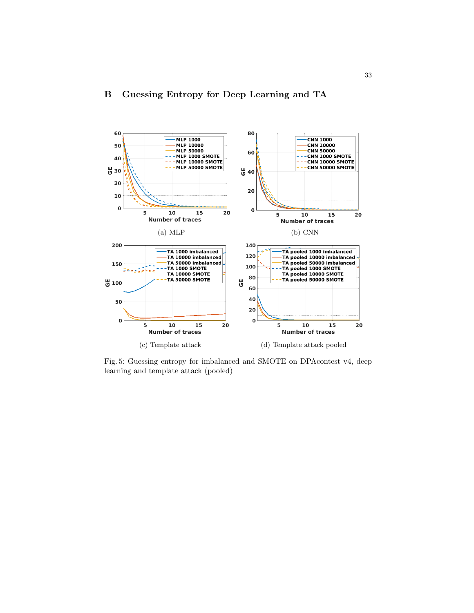<span id="page-32-1"></span>

# <span id="page-32-0"></span>B Guessing Entropy for Deep Learning and TA

Fig. 5: Guessing entropy for imbalanced and SMOTE on DPAcontest v4, deep learning and template attack (pooled)